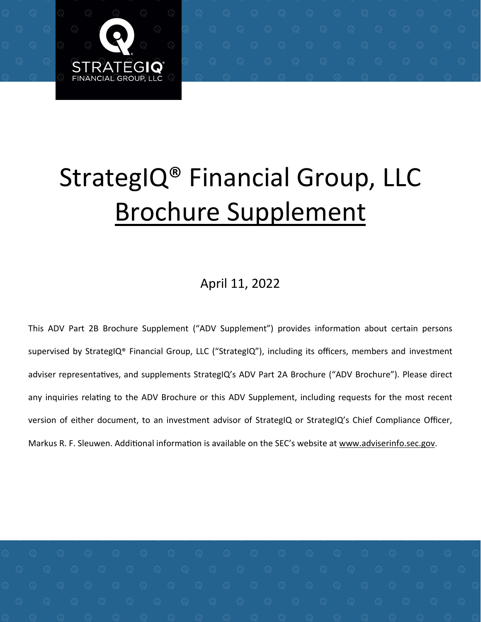

# StrategIQ<sup>®</sup> Financial Group, LLC Brochure Supplement

### April 11, 2022

This ADV Part 2B Brochure Supplement ("ADV Supplement") provides information about certain persons supervised by StrategIQ® Financial Group, LLC ("StrategIQ"), including its officers, members and investment adviser representatives, and supplements StrategIQ's ADV Part 2A Brochure ("ADV Brochure"). Please direct any inquiries relating to the ADV Brochure or this ADV Supplement, including requests for the most recent version of either document, to an investment advisor of StrategIQ or StrategIQ's Chief Compliance Officer, Markus R. F. Sleuwen. Additional information is available on the SEC's website at www.adviserinfo.sec.gov.

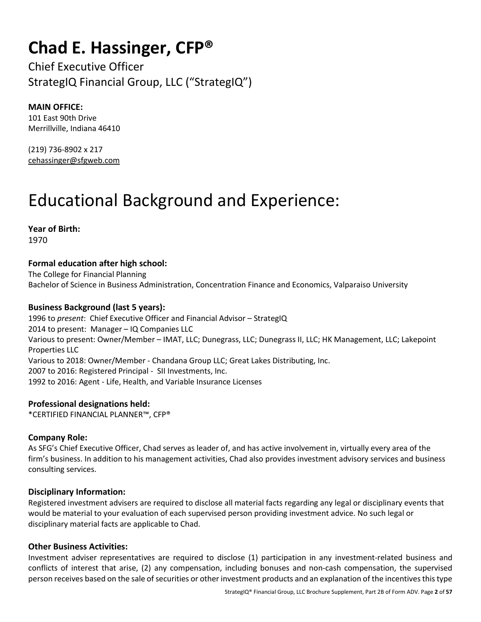### **Chad E. Hassinger, CFP®**

Chief Executive Officer StrategIQ Financial Group, LLC ("StrategIQ")

#### **MAIN OFFICE:**

101 East 90th Drive Merrillville, Indiana 46410

(219) 736-8902 x 217 cehassinger@sfgweb.com

# Educational Background and Experience:

**Year of Birth:**  1970

#### **Formal education after high school:**

The College for Financial Planning Bachelor of Science in Business Administration, Concentration Finance and Economics, Valparaiso University

#### **Business Background (last 5 years):**

1996 to *present*: Chief Executive Officer and Financial Advisor – StrategIQ 2014 to present: Manager – IQ Companies LLC Various to present: Owner/Member – IMAT, LLC; Dunegrass, LLC; Dunegrass II, LLC; HK Management, LLC; Lakepoint Properties LLC Various to 2018: Owner/Member - Chandana Group LLC; Great Lakes Distributing, Inc. 2007 to 2016: Registered Principal - SII Investments, Inc. 1992 to 2016: Agent - Life, Health, and Variable Insurance Licenses

**Professional designations held:**  \*CERTIFIED FINANCIAL PLANNER™, CFP®

#### **Company Role:**

As SFG's Chief Executive Officer, Chad serves as leader of, and has active involvement in, virtually every area of the firm's business. In addition to his management activities, Chad also provides investment advisory services and business consulting services.

#### **Disciplinary Information:**

Registered investment advisers are required to disclose all material facts regarding any legal or disciplinary events that would be material to your evaluation of each supervised person providing investment advice. No such legal or disciplinary material facts are applicable to Chad.

#### **Other Business Activities:**

Investment adviser representatives are required to disclose (1) participation in any investment-related business and conflicts of interest that arise, (2) any compensation, including bonuses and non-cash compensation, the supervised person receives based on the sale of securities or other investment products and an explanation of the incentives this type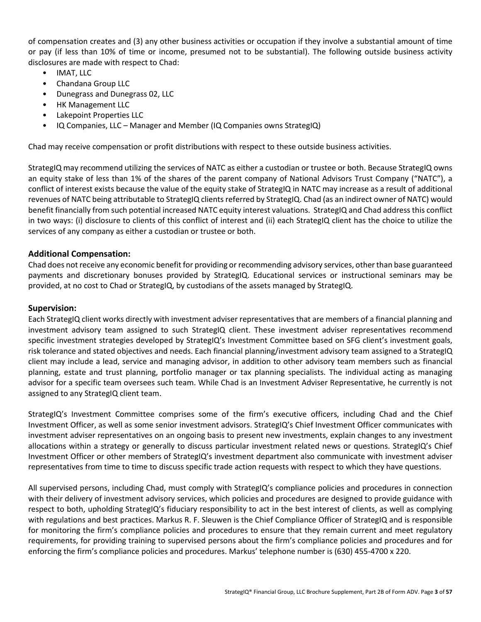of compensation creates and (3) any other business activities or occupation if they involve a substantial amount of time or pay (if less than 10% of time or income, presumed not to be substantial). The following outside business activity disclosures are made with respect to Chad:

- IMAT, LLC
- Chandana Group LLC
- Dunegrass and Dunegrass 02, LLC
- HK Management LLC
- Lakepoint Properties LLC
- IQ Companies, LLC Manager and Member (IQ Companies owns StrategIQ)

Chad may receive compensation or profit distributions with respect to these outside business activities.

StrategIQ may recommend utilizing the services of NATC as either a custodian or trustee or both. Because StrategIQ owns an equity stake of less than 1% of the shares of the parent company of National Advisors Trust Company ("NATC"), a conflict of interest exists because the value of the equity stake of StrategIQ in NATC may increase as a result of additional revenues of NATC being attributable to StrategIQ clients referred by StrategIQ. Chad (as an indirect owner of NATC) would benefit financially from such potential increased NATC equity interest valuations. StrategIQ and Chad address this conflict in two ways: (i) disclosure to clients of this conflict of interest and (ii) each StrategIQ client has the choice to utilize the services of any company as either a custodian or trustee or both.

#### **Additional Compensation:**

Chad does not receive any economic benefit for providing or recommending advisory services, other than base guaranteed payments and discretionary bonuses provided by StrategIQ. Educational services or instructional seminars may be provided, at no cost to Chad or StrategIQ, by custodians of the assets managed by StrategIQ.

#### **Supervision:**

Each StrategIQ client works directly with investment adviser representatives that are members of a financial planning and investment advisory team assigned to such StrategIQ client. These investment adviser representatives recommend specific investment strategies developed by StrategIQ's Investment Committee based on SFG client's investment goals, risk tolerance and stated objectives and needs. Each financial planning/investment advisory team assigned to a StrategIQ client may include a lead, service and managing advisor, in addition to other advisory team members such as financial planning, estate and trust planning, portfolio manager or tax planning specialists. The individual acting as managing advisor for a specific team oversees such team. While Chad is an Investment Adviser Representative, he currently is not assigned to any StrategIQ client team.

StrategIQ's Investment Committee comprises some of the firm's executive officers, including Chad and the Chief Investment Officer, as well as some senior investment advisors. StrategIQ's Chief Investment Officer communicates with investment adviser representatives on an ongoing basis to present new investments, explain changes to any investment allocations within a strategy or generally to discuss particular investment related news or questions. StrategIQ's Chief Investment Officer or other members of StrategIQ's investment department also communicate with investment adviser representatives from time to time to discuss specific trade action requests with respect to which they have questions.

All supervised persons, including Chad, must comply with StrategIQ's compliance policies and procedures in connection with their delivery of investment advisory services, which policies and procedures are designed to provide guidance with respect to both, upholding StrategIQ's fiduciary responsibility to act in the best interest of clients, as well as complying with regulations and best practices. Markus R. F. Sleuwen is the Chief Compliance Officer of StrategIQ and is responsible for monitoring the firm's compliance policies and procedures to ensure that they remain current and meet regulatory requirements, for providing training to supervised persons about the firm's compliance policies and procedures and for enforcing the firm's compliance policies and procedures. Markus' telephone number is (630) 455-4700 x 220.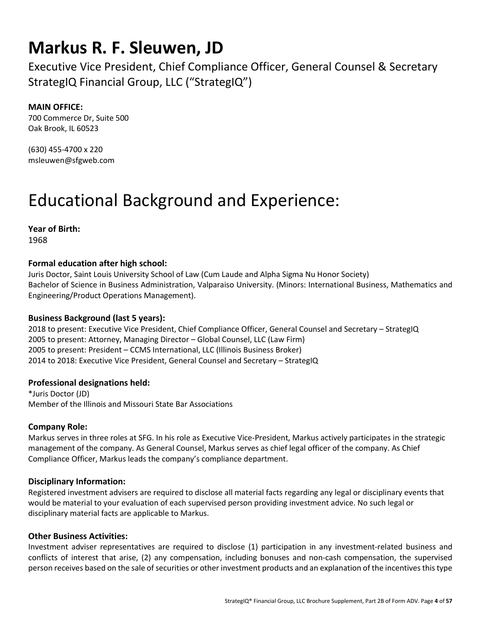### **Markus R. F. Sleuwen, JD**

Executive Vice President, Chief Compliance Officer, General Counsel & Secretary StrategIQ Financial Group, LLC ("StrategIQ")

#### **MAIN OFFICE:**

700 Commerce Dr, Suite 500 Oak Brook, IL 60523

(630) 455-4700 x 220 msleuwen@sfgweb.com

### Educational Background and Experience:

**Year of Birth:**  1968

#### **Formal education after high school:**

Juris Doctor, Saint Louis University School of Law (Cum Laude and Alpha Sigma Nu Honor Society) Bachelor of Science in Business Administration, Valparaiso University. (Minors: International Business, Mathematics and Engineering/Product Operations Management).

#### **Business Background (last 5 years):**

2018 to present: Executive Vice President, Chief Compliance Officer, General Counsel and Secretary – StrategIQ 2005 to present: Attorney, Managing Director – Global Counsel, LLC (Law Firm) 2005 to present: President – CCMS International, LLC (Illinois Business Broker) 2014 to 2018: Executive Vice President, General Counsel and Secretary – StrategIQ

#### **Professional designations held:**

\*Juris Doctor (JD) Member of the Illinois and Missouri State Bar Associations

#### **Company Role:**

Markus serves in three roles at SFG. In his role as Executive Vice-President, Markus actively participates in the strategic management of the company. As General Counsel, Markus serves as chief legal officer of the company. As Chief Compliance Officer, Markus leads the company's compliance department.

#### **Disciplinary Information:**

Registered investment advisers are required to disclose all material facts regarding any legal or disciplinary events that would be material to your evaluation of each supervised person providing investment advice. No such legal or disciplinary material facts are applicable to Markus.

#### **Other Business Activities:**

Investment adviser representatives are required to disclose (1) participation in any investment-related business and conflicts of interest that arise, (2) any compensation, including bonuses and non-cash compensation, the supervised person receives based on the sale of securities or other investment products and an explanation of the incentives this type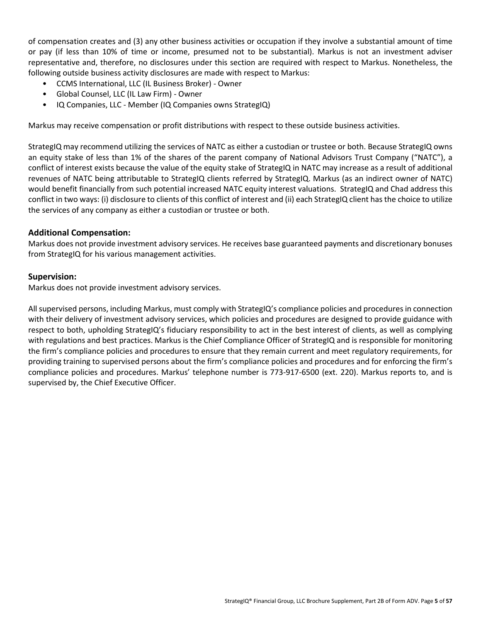of compensation creates and (3) any other business activities or occupation if they involve a substantial amount of time or pay (if less than 10% of time or income, presumed not to be substantial). Markus is not an investment adviser representative and, therefore, no disclosures under this section are required with respect to Markus. Nonetheless, the following outside business activity disclosures are made with respect to Markus:

- CCMS International, LLC (IL Business Broker) Owner
- Global Counsel, LLC (IL Law Firm) Owner
- IQ Companies, LLC Member (IQ Companies owns StrategIQ)

Markus may receive compensation or profit distributions with respect to these outside business activities.

StrategIQ may recommend utilizing the services of NATC as either a custodian or trustee or both. Because StrategIQ owns an equity stake of less than 1% of the shares of the parent company of National Advisors Trust Company ("NATC"), a conflict of interest exists because the value of the equity stake of StrategIQ in NATC may increase as a result of additional revenues of NATC being attributable to StrategIQ clients referred by StrategIQ. Markus (as an indirect owner of NATC) would benefit financially from such potential increased NATC equity interest valuations. StrategIQ and Chad address this conflict in two ways: (i) disclosure to clients of this conflict of interest and (ii) each StrategIQ client has the choice to utilize the services of any company as either a custodian or trustee or both.

#### **Additional Compensation:**

Markus does not provide investment advisory services. He receives base guaranteed payments and discretionary bonuses from StrategIQ for his various management activities.

#### **Supervision:**

Markus does not provide investment advisory services.

All supervised persons, including Markus, must comply with StrategIQ's compliance policies and proceduresin connection with their delivery of investment advisory services, which policies and procedures are designed to provide guidance with respect to both, upholding StrategIQ's fiduciary responsibility to act in the best interest of clients, as well as complying with regulations and best practices. Markus is the Chief Compliance Officer of StrategIQ and is responsible for monitoring the firm's compliance policies and procedures to ensure that they remain current and meet regulatory requirements, for providing training to supervised persons about the firm's compliance policies and procedures and for enforcing the firm's compliance policies and procedures. Markus' telephone number is 773-917-6500 (ext. 220). Markus reports to, and is supervised by, the Chief Executive Officer.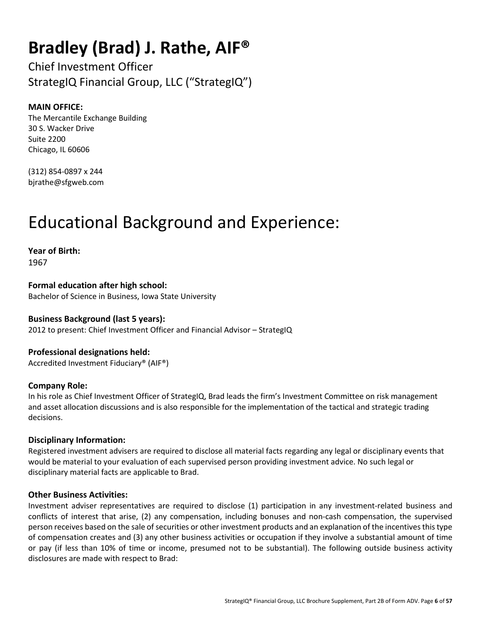### **Bradley (Brad) J. Rathe, AIF®**

Chief Investment Officer StrategIQ Financial Group, LLC ("StrategIQ")

#### **MAIN OFFICE:**

The Mercantile Exchange Building 30 S. Wacker Drive Suite 2200 Chicago, IL 60606

(312) 854-0897 x 244 bjrathe@sfgweb.com

### Educational Background and Experience:

**Year of Birth:**  1967

**Formal education after high school:**  Bachelor of Science in Business, Iowa State University

#### **Business Background (last 5 years):**  2012 to present: Chief Investment Officer and Financial Advisor – StrategIQ

**Professional designations held:**  Accredited Investment Fiduciary® (AIF®)

#### **Company Role:**

In his role as Chief Investment Officer of StrategIQ, Brad leads the firm's Investment Committee on risk management and asset allocation discussions and is also responsible for the implementation of the tactical and strategic trading decisions.

#### **Disciplinary Information:**

Registered investment advisers are required to disclose all material facts regarding any legal or disciplinary events that would be material to your evaluation of each supervised person providing investment advice. No such legal or disciplinary material facts are applicable to Brad.

#### **Other Business Activities:**

Investment adviser representatives are required to disclose (1) participation in any investment-related business and conflicts of interest that arise, (2) any compensation, including bonuses and non-cash compensation, the supervised person receives based on the sale of securities or other investment products and an explanation of the incentives this type of compensation creates and (3) any other business activities or occupation if they involve a substantial amount of time or pay (if less than 10% of time or income, presumed not to be substantial). The following outside business activity disclosures are made with respect to Brad: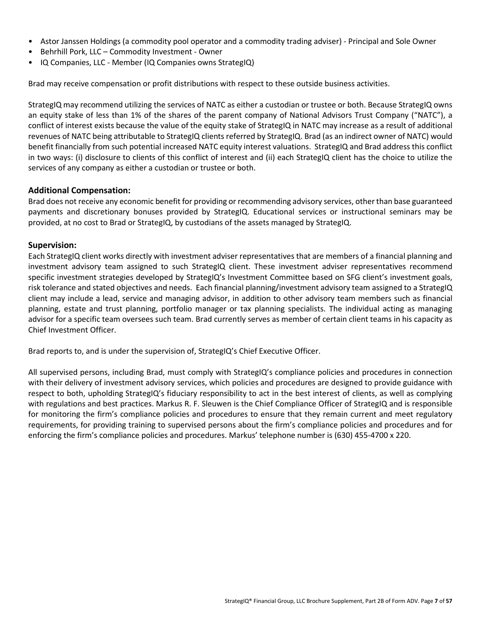- Astor Janssen Holdings (a commodity pool operator and a commodity trading adviser) Principal and Sole Owner
- Behrhill Pork, LLC Commodity Investment Owner
- IQ Companies, LLC Member (IQ Companies owns StrategIQ)

Brad may receive compensation or profit distributions with respect to these outside business activities.

StrategIQ may recommend utilizing the services of NATC as either a custodian or trustee or both. Because StrategIQ owns an equity stake of less than 1% of the shares of the parent company of National Advisors Trust Company ("NATC"), a conflict of interest exists because the value of the equity stake of StrategIQ in NATC may increase as a result of additional revenues of NATC being attributable to StrategIQ clients referred by StrategIQ. Brad (as an indirect owner of NATC) would benefit financially from such potential increased NATC equity interest valuations. StrategIQ and Brad address this conflict in two ways: (i) disclosure to clients of this conflict of interest and (ii) each StrategIQ client has the choice to utilize the services of any company as either a custodian or trustee or both.

#### **Additional Compensation:**

Brad does not receive any economic benefit for providing or recommending advisory services, other than base guaranteed payments and discretionary bonuses provided by StrategIQ. Educational services or instructional seminars may be provided, at no cost to Brad or StrategIQ, by custodians of the assets managed by StrategIQ.

#### **Supervision:**

Each StrategIQ client works directly with investment adviser representatives that are members of a financial planning and investment advisory team assigned to such StrategIQ client. These investment adviser representatives recommend specific investment strategies developed by StrategIQ's Investment Committee based on SFG client's investment goals, risk tolerance and stated objectives and needs. Each financial planning/investment advisory team assigned to a StrategIQ client may include a lead, service and managing advisor, in addition to other advisory team members such as financial planning, estate and trust planning, portfolio manager or tax planning specialists. The individual acting as managing advisor for a specific team oversees such team. Brad currently serves as member of certain client teams in his capacity as Chief Investment Officer.

Brad reports to, and is under the supervision of, StrategIQ's Chief Executive Officer.

All supervised persons, including Brad, must comply with StrategIQ's compliance policies and procedures in connection with their delivery of investment advisory services, which policies and procedures are designed to provide guidance with respect to both, upholding StrategIQ's fiduciary responsibility to act in the best interest of clients, as well as complying with regulations and best practices. Markus R. F. Sleuwen is the Chief Compliance Officer of StrategIQ and is responsible for monitoring the firm's compliance policies and procedures to ensure that they remain current and meet regulatory requirements, for providing training to supervised persons about the firm's compliance policies and procedures and for enforcing the firm's compliance policies and procedures. Markus' telephone number is (630) 455-4700 x 220.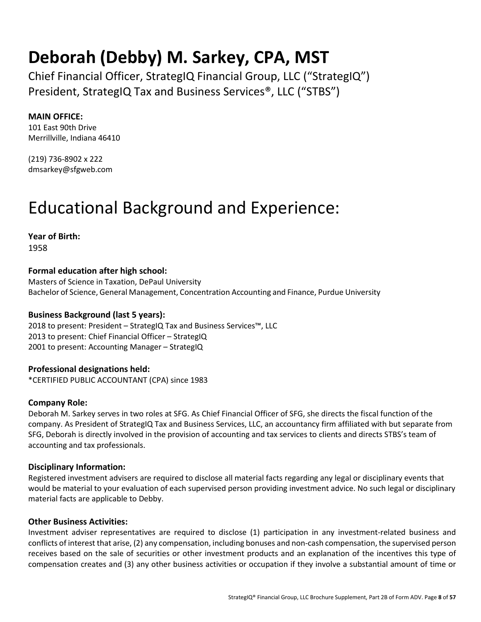### **Deborah (Debby) M. Sarkey, CPA, MST**

Chief Financial Officer, StrategIQ Financial Group, LLC ("StrategIQ") President, StrategIQ Tax and Business Services®, LLC ("STBS")

#### **MAIN OFFICE:**

101 East 90th Drive Merrillville, Indiana 46410

(219) 736-8902 x 222 dmsarkey@sfgweb.com

### Educational Background and Experience:

**Year of Birth:**  1958

#### **Formal education after high school:**

Masters of Science in Taxation, DePaul University Bachelor of Science, General Management, Concentration Accounting and Finance, Purdue University

#### **Business Background (last 5 years):**

2018 to present: President – StrategIQ Tax and Business Services™, LLC 2013 to present: Chief Financial Officer – StrategIQ 2001 to present: Accounting Manager – StrategIQ

#### **Professional designations held:**

\*CERTIFIED PUBLIC ACCOUNTANT (CPA) since 1983

#### **Company Role:**

Deborah M. Sarkey serves in two roles at SFG. As Chief Financial Officer of SFG, she directs the fiscal function of the company. As President of StrategIQ Tax and Business Services, LLC, an accountancy firm affiliated with but separate from SFG, Deborah is directly involved in the provision of accounting and tax services to clients and directs STBS's team of accounting and tax professionals.

#### **Disciplinary Information:**

Registered investment advisers are required to disclose all material facts regarding any legal or disciplinary events that would be material to your evaluation of each supervised person providing investment advice. No such legal or disciplinary material facts are applicable to Debby.

#### **Other Business Activities:**

Investment adviser representatives are required to disclose (1) participation in any investment-related business and conflicts of interest that arise, (2) any compensation, including bonuses and non-cash compensation, the supervised person receives based on the sale of securities or other investment products and an explanation of the incentives this type of compensation creates and (3) any other business activities or occupation if they involve a substantial amount of time or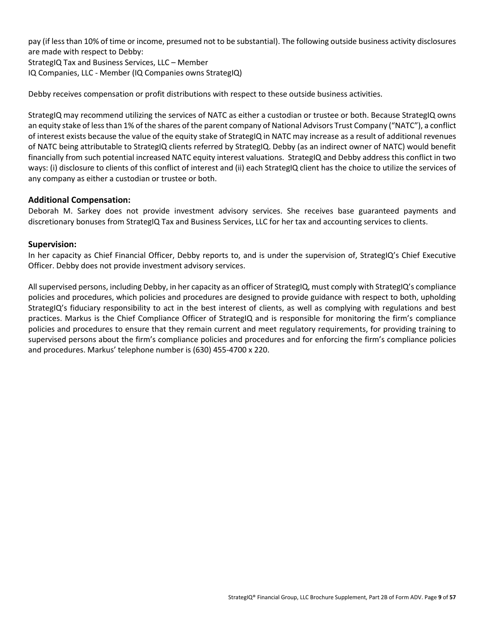pay (if less than 10% of time or income, presumed not to be substantial). The following outside business activity disclosures are made with respect to Debby:

StrategIQ Tax and Business Services, LLC – Member IQ Companies, LLC - Member (IQ Companies owns StrategIQ)

Debby receives compensation or profit distributions with respect to these outside business activities.

StrategIQ may recommend utilizing the services of NATC as either a custodian or trustee or both. Because StrategIQ owns an equity stake of less than 1% of the shares of the parent company of National Advisors Trust Company ("NATC"), a conflict of interest exists because the value of the equity stake of StrategIQ in NATC may increase as a result of additional revenues of NATC being attributable to StrategIQ clients referred by StrategIQ. Debby (as an indirect owner of NATC) would benefit financially from such potential increased NATC equity interest valuations. StrategIQ and Debby address this conflict in two ways: (i) disclosure to clients of this conflict of interest and (ii) each StrategIQ client has the choice to utilize the services of any company as either a custodian or trustee or both.

#### **Additional Compensation:**

Deborah M. Sarkey does not provide investment advisory services. She receives base guaranteed payments and discretionary bonuses from StrategIQ Tax and Business Services, LLC for her tax and accounting services to clients.

#### **Supervision:**

In her capacity as Chief Financial Officer, Debby reports to, and is under the supervision of, StrategIQ's Chief Executive Officer. Debby does not provide investment advisory services.

All supervised persons, including Debby, in her capacity as an officer of StrategIQ, must comply with StrategIQ's compliance policies and procedures, which policies and procedures are designed to provide guidance with respect to both, upholding StrategIQ's fiduciary responsibility to act in the best interest of clients, as well as complying with regulations and best practices. Markus is the Chief Compliance Officer of StrategIQ and is responsible for monitoring the firm's compliance policies and procedures to ensure that they remain current and meet regulatory requirements, for providing training to supervised persons about the firm's compliance policies and procedures and for enforcing the firm's compliance policies and procedures. Markus' telephone number is (630) 455-4700 x 220.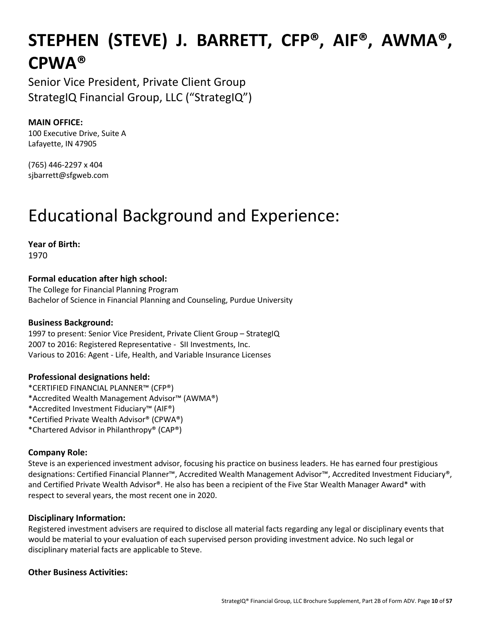# **STEPHEN (STEVE) J. BARRETT, CFP®, AIF®, AWMA®, CPWA®**

Senior Vice President, Private Client Group StrategIQ Financial Group, LLC ("StrategIQ")

#### **MAIN OFFICE:**

100 Executive Drive, Suite A Lafayette, IN 47905

(765) 446-2297 x 404 sjbarrett@sfgweb.com

### Educational Background and Experience:

**Year of Birth:**  1970

**Formal education after high school:** 

The College for Financial Planning Program Bachelor of Science in Financial Planning and Counseling, Purdue University

#### **Business Background:**

1997 to present: Senior Vice President, Private Client Group – StrategIQ 2007 to 2016: Registered Representative - SII Investments, Inc. Various to 2016: Agent - Life, Health, and Variable Insurance Licenses

#### **Professional designations held:**

- \*CERTIFIED FINANCIAL PLANNER™ (CFP®)
- \*Accredited Wealth Management Advisor™ (AWMA®)
- \*Accredited Investment Fiduciary™ (AIF®)
- \*Certified Private Wealth Advisor® (CPWA®)
- \*Chartered Advisor in Philanthropy® (CAP®)

#### **Company Role:**

Steve is an experienced investment advisor, focusing his practice on business leaders. He has earned four prestigious designations: Certified Financial Planner™, Accredited Wealth Management Advisor™, Accredited Investment Fiduciary®, and Certified Private Wealth Advisor®. He also has been a recipient of the Five Star Wealth Manager Award\* with respect to several years, the most recent one in 2020.

#### **Disciplinary Information:**

Registered investment advisers are required to disclose all material facts regarding any legal or disciplinary events that would be material to your evaluation of each supervised person providing investment advice. No such legal or disciplinary material facts are applicable to Steve.

#### **Other Business Activities:**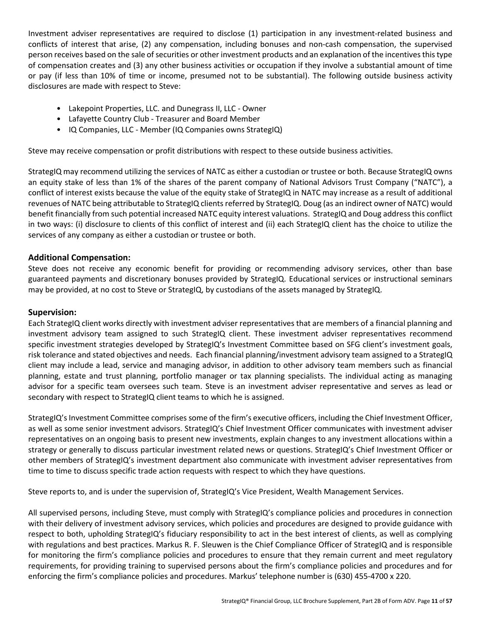Investment adviser representatives are required to disclose (1) participation in any investment-related business and conflicts of interest that arise, (2) any compensation, including bonuses and non-cash compensation, the supervised person receives based on the sale of securities or other investment products and an explanation of the incentives this type of compensation creates and (3) any other business activities or occupation if they involve a substantial amount of time or pay (if less than 10% of time or income, presumed not to be substantial). The following outside business activity disclosures are made with respect to Steve:

- Lakepoint Properties, LLC. and Dunegrass II, LLC Owner
- Lafayette Country Club Treasurer and Board Member
- IQ Companies, LLC Member (IQ Companies owns StrategIQ)

Steve may receive compensation or profit distributions with respect to these outside business activities.

StrategIQ may recommend utilizing the services of NATC as either a custodian or trustee or both. Because StrategIQ owns an equity stake of less than 1% of the shares of the parent company of National Advisors Trust Company ("NATC"), a conflict of interest exists because the value of the equity stake of StrategIQ in NATC may increase as a result of additional revenues of NATC being attributable to StrategIQ clients referred by StrategIQ. Doug (as an indirect owner of NATC) would benefit financially from such potential increased NATC equity interest valuations. StrategIQ and Doug address this conflict in two ways: (i) disclosure to clients of this conflict of interest and (ii) each StrategIQ client has the choice to utilize the services of any company as either a custodian or trustee or both.

#### **Additional Compensation:**

Steve does not receive any economic benefit for providing or recommending advisory services, other than base guaranteed payments and discretionary bonuses provided by StrategIQ. Educational services or instructional seminars may be provided, at no cost to Steve or StrategIQ, by custodians of the assets managed by StrategIQ.

#### **Supervision:**

Each StrategIQ client works directly with investment adviser representatives that are members of a financial planning and investment advisory team assigned to such StrategIQ client. These investment adviser representatives recommend specific investment strategies developed by StrategIQ's Investment Committee based on SFG client's investment goals, risk tolerance and stated objectives and needs. Each financial planning/investment advisory team assigned to a StrategIQ client may include a lead, service and managing advisor, in addition to other advisory team members such as financial planning, estate and trust planning, portfolio manager or tax planning specialists. The individual acting as managing advisor for a specific team oversees such team. Steve is an investment adviser representative and serves as lead or secondary with respect to StrategIQ client teams to which he is assigned.

StrategIQ's Investment Committee comprises some of the firm's executive officers, including the Chief Investment Officer, as well as some senior investment advisors. StrategIQ's Chief Investment Officer communicates with investment adviser representatives on an ongoing basis to present new investments, explain changes to any investment allocations within a strategy or generally to discuss particular investment related news or questions. StrategIQ's Chief Investment Officer or other members of StrategIQ's investment department also communicate with investment adviser representatives from time to time to discuss specific trade action requests with respect to which they have questions.

Steve reports to, and is under the supervision of, StrategIQ's Vice President, Wealth Management Services.

All supervised persons, including Steve, must comply with StrategIQ's compliance policies and procedures in connection with their delivery of investment advisory services, which policies and procedures are designed to provide guidance with respect to both, upholding StrategIQ's fiduciary responsibility to act in the best interest of clients, as well as complying with regulations and best practices. Markus R. F. Sleuwen is the Chief Compliance Officer of StrategIQ and is responsible for monitoring the firm's compliance policies and procedures to ensure that they remain current and meet regulatory requirements, for providing training to supervised persons about the firm's compliance policies and procedures and for enforcing the firm's compliance policies and procedures. Markus' telephone number is (630) 455-4700 x 220.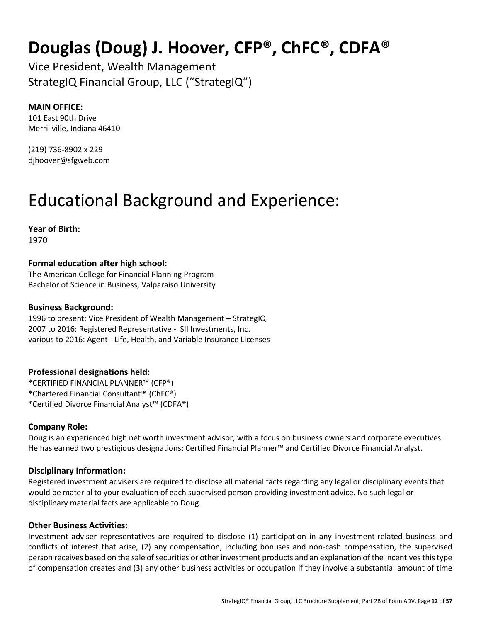### **Douglas (Doug) J. Hoover, CFP®, ChFC®, CDFA®**

Vice President, Wealth Management StrategIQ Financial Group, LLC ("StrategIQ")

#### **MAIN OFFICE:**

101 East 90th Drive Merrillville, Indiana 46410

(219) 736-8902 x 229 djhoover@sfgweb.com

## Educational Background and Experience:

**Year of Birth:**  1970

#### **Formal education after high school:**

The American College for Financial Planning Program Bachelor of Science in Business, Valparaiso University

#### **Business Background:**

1996 to present: Vice President of Wealth Management – StrategIQ 2007 to 2016: Registered Representative - SII Investments, Inc. various to 2016: Agent - Life, Health, and Variable Insurance Licenses

#### **Professional designations held:**

\*CERTIFIED FINANCIAL PLANNER™ (CFP®) \*Chartered Financial Consultant™ (ChFC®) \*Certified Divorce Financial Analyst™ (CDFA®)

#### **Company Role:**

Doug is an experienced high net worth investment advisor, with a focus on business owners and corporate executives. He has earned two prestigious designations: Certified Financial Planner™ and Certified Divorce Financial Analyst.

#### **Disciplinary Information:**

Registered investment advisers are required to disclose all material facts regarding any legal or disciplinary events that would be material to your evaluation of each supervised person providing investment advice. No such legal or disciplinary material facts are applicable to Doug.

#### **Other Business Activities:**

Investment adviser representatives are required to disclose (1) participation in any investment-related business and conflicts of interest that arise, (2) any compensation, including bonuses and non-cash compensation, the supervised person receives based on the sale of securities or other investment products and an explanation of the incentives this type of compensation creates and (3) any other business activities or occupation if they involve a substantial amount of time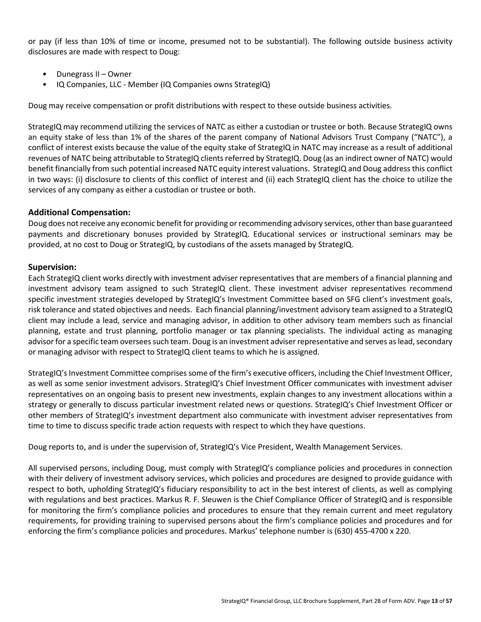or pay (if less than 10% of time or income, presumed not to be substantial). The following outside business activity disclosures are made with respect to Doug:

- Dunegrass II Owner
- IQ Companies, LLC Member (IQ Companies owns StrategIQ)

Doug may receive compensation or profit distributions with respect to these outside business activities.

StrategIQ may recommend utilizing the services of NATC as either a custodian or trustee or both. Because StrategIQ owns an equity stake of less than 1% of the shares of the parent company of National Advisors Trust Company ("NATC"), a conflict of interest exists because the value of the equity stake of StrategIQ in NATC may increase as a result of additional revenues of NATC being attributable to StrategIQ clients referred by StrategIQ. Doug (as an indirect owner of NATC) would benefit financially from such potential increased NATC equity interest valuations. StrategIQ and Doug address this conflict in two ways: (i) disclosure to clients of this conflict of interest and (ii) each StrategIQ client has the choice to utilize the services of any company as either a custodian or trustee or both.

#### **Additional Compensation:**

Doug does not receive any economic benefit for providing or recommending advisory services, other than base guaranteed payments and discretionary bonuses provided by StrategIQ. Educational services or instructional seminars may be provided, at no cost to Doug or StrategIQ, by custodians of the assets managed by StrategIQ.

#### **Supervision:**

Each StrategIQ client works directly with investment adviser representatives that are members of a financial planning and investment advisory team assigned to such StrategIQ client. These investment adviser representatives recommend specific investment strategies developed by StrategIQ's Investment Committee based on SFG client's investment goals, risk tolerance and stated objectives and needs. Each financial planning/investment advisory team assigned to a StrategIQ client may include a lead, service and managing advisor, in addition to other advisory team members such as financial planning, estate and trust planning, portfolio manager or tax planning specialists. The individual acting as managing advisor for a specific team oversees such team. Doug is an investment adviser representative and serves as lead, secondary or managing advisor with respect to StrategIQ client teams to which he is assigned.

StrategIQ's Investment Committee comprises some of the firm's executive officers, including the Chief Investment Officer, as well as some senior investment advisors. StrategIQ's Chief Investment Officer communicates with investment adviser representatives on an ongoing basis to present new investments, explain changes to any investment allocations within a strategy or generally to discuss particular investment related news or questions. StrategIQ's Chief Investment Officer or other members of StrategIQ's investment department also communicate with investment adviser representatives from time to time to discuss specific trade action requests with respect to which they have questions.

Doug reports to, and is under the supervision of, StrategIQ's Vice President, Wealth Management Services.

All supervised persons, including Doug, must comply with StrategIQ's compliance policies and procedures in connection with their delivery of investment advisory services, which policies and procedures are designed to provide guidance with respect to both, upholding StrategIQ's fiduciary responsibility to act in the best interest of clients, as well as complying with regulations and best practices. Markus R. F. Sleuwen is the Chief Compliance Officer of StrategIQ and is responsible for monitoring the firm's compliance policies and procedures to ensure that they remain current and meet regulatory requirements, for providing training to supervised persons about the firm's compliance policies and procedures and for enforcing the firm's compliance policies and procedures. Markus' telephone number is (630) 455-4700 x 220.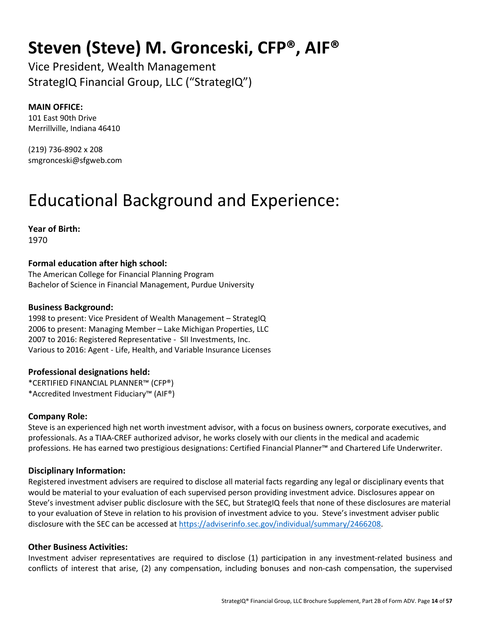### **Steven (Steve) M. Gronceski, CFP®, AIF®**

Vice President, Wealth Management StrategIQ Financial Group, LLC ("StrategIQ")

#### **MAIN OFFICE:**

101 East 90th Drive Merrillville, Indiana 46410

(219) 736-8902 x 208 smgronceski@sfgweb.com

## Educational Background and Experience:

**Year of Birth:**  1970

#### **Formal education after high school:**

The American College for Financial Planning Program Bachelor of Science in Financial Management, Purdue University

#### **Business Background:**

1998 to present: Vice President of Wealth Management – StrategIQ 2006 to present: Managing Member – Lake Michigan Properties, LLC 2007 to 2016: Registered Representative - SII Investments, Inc. Various to 2016: Agent - Life, Health, and Variable Insurance Licenses

#### **Professional designations held:**

\*CERTIFIED FINANCIAL PLANNER™ (CFP®) \*Accredited Investment Fiduciary™ (AIF®)

#### **Company Role:**

Steve is an experienced high net worth investment advisor, with a focus on business owners, corporate executives, and professionals. As a TIAA-CREF authorized advisor, he works closely with our clients in the medical and academic professions. He has earned two prestigious designations: Certified Financial Planner™ and Chartered Life Underwriter.

#### **Disciplinary Information:**

Registered investment advisers are required to disclose all material facts regarding any legal or disciplinary events that would be material to your evaluation of each supervised person providing investment advice. Disclosures appear on Steve's investment adviser public disclosure with the SEC, but StrategIQ feels that none of these disclosures are material to your evaluation of Steve in relation to his provision of investment advice to you. Steve's investment adviser public disclosure with the SEC can be accessed at https://adviserinfo.sec.gov/individual/summary/2466208.

#### **Other Business Activities:**

Investment adviser representatives are required to disclose (1) participation in any investment-related business and conflicts of interest that arise, (2) any compensation, including bonuses and non-cash compensation, the supervised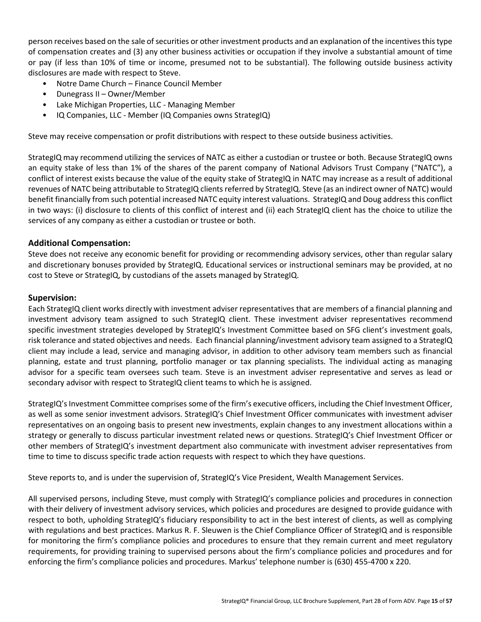person receives based on the sale of securities or other investment products and an explanation of the incentives this type of compensation creates and (3) any other business activities or occupation if they involve a substantial amount of time or pay (if less than 10% of time or income, presumed not to be substantial). The following outside business activity disclosures are made with respect to Steve.

- Notre Dame Church Finance Council Member
- Dunegrass II Owner/Member
- Lake Michigan Properties, LLC Managing Member
- IQ Companies, LLC Member (IQ Companies owns StrategIQ)

Steve may receive compensation or profit distributions with respect to these outside business activities.

StrategIQ may recommend utilizing the services of NATC as either a custodian or trustee or both. Because StrategIQ owns an equity stake of less than 1% of the shares of the parent company of National Advisors Trust Company ("NATC"), a conflict of interest exists because the value of the equity stake of StrategIQ in NATC may increase as a result of additional revenues of NATC being attributable to StrategIQ clients referred by StrategIQ. Steve (as an indirect owner of NATC) would benefit financially from such potential increased NATC equity interest valuations. StrategIQ and Doug address this conflict in two ways: (i) disclosure to clients of this conflict of interest and (ii) each StrategIQ client has the choice to utilize the services of any company as either a custodian or trustee or both.

#### **Additional Compensation:**

Steve does not receive any economic benefit for providing or recommending advisory services, other than regular salary and discretionary bonuses provided by StrategIQ. Educational services or instructional seminars may be provided, at no cost to Steve or StrategIQ, by custodians of the assets managed by StrategIQ.

#### **Supervision:**

Each StrategIQ client works directly with investment adviser representatives that are members of a financial planning and investment advisory team assigned to such StrategIQ client. These investment adviser representatives recommend specific investment strategies developed by StrategIQ's Investment Committee based on SFG client's investment goals, risk tolerance and stated objectives and needs. Each financial planning/investment advisory team assigned to a StrategIQ client may include a lead, service and managing advisor, in addition to other advisory team members such as financial planning, estate and trust planning, portfolio manager or tax planning specialists. The individual acting as managing advisor for a specific team oversees such team. Steve is an investment adviser representative and serves as lead or secondary advisor with respect to StrategIQ client teams to which he is assigned.

StrategIQ's Investment Committee comprises some of the firm's executive officers, including the Chief Investment Officer, as well as some senior investment advisors. StrategIQ's Chief Investment Officer communicates with investment adviser representatives on an ongoing basis to present new investments, explain changes to any investment allocations within a strategy or generally to discuss particular investment related news or questions. StrategIQ's Chief Investment Officer or other members of StrategIQ's investment department also communicate with investment adviser representatives from time to time to discuss specific trade action requests with respect to which they have questions.

Steve reports to, and is under the supervision of, StrategIQ's Vice President, Wealth Management Services.

All supervised persons, including Steve, must comply with StrategIQ's compliance policies and procedures in connection with their delivery of investment advisory services, which policies and procedures are designed to provide guidance with respect to both, upholding StrategIQ's fiduciary responsibility to act in the best interest of clients, as well as complying with regulations and best practices. Markus R. F. Sleuwen is the Chief Compliance Officer of StrategIQ and is responsible for monitoring the firm's compliance policies and procedures to ensure that they remain current and meet regulatory requirements, for providing training to supervised persons about the firm's compliance policies and procedures and for enforcing the firm's compliance policies and procedures. Markus' telephone number is (630) 455-4700 x 220.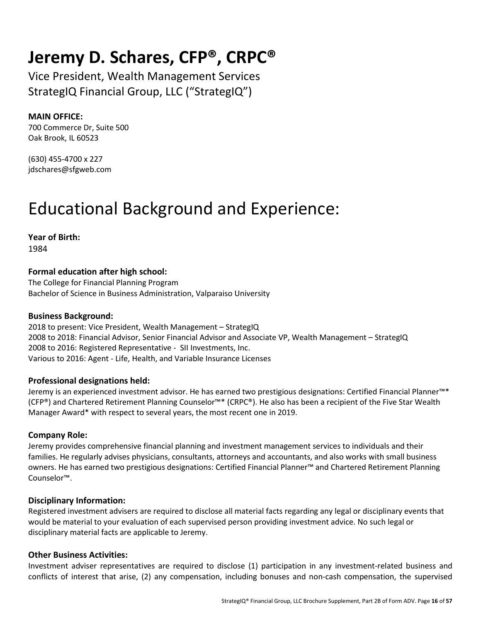### **Jeremy D. Schares, CFP®, CRPC®**

Vice President, Wealth Management Services StrategIQ Financial Group, LLC ("StrategIQ")

#### **MAIN OFFICE:**

700 Commerce Dr, Suite 500 Oak Brook, IL 60523

(630) 455-4700 x 227 jdschares@sfgweb.com

### Educational Background and Experience:

**Year of Birth:**  1984

#### **Formal education after high school:**

The College for Financial Planning Program Bachelor of Science in Business Administration, Valparaiso University

#### **Business Background:**

2018 to present: Vice President, Wealth Management – StrategIQ 2008 to 2018: Financial Advisor, Senior Financial Advisor and Associate VP, Wealth Management – StrategIQ 2008 to 2016: Registered Representative - SII Investments, Inc. Various to 2016: Agent - Life, Health, and Variable Insurance Licenses

#### **Professional designations held:**

Jeremy is an experienced investment advisor. He has earned two prestigious designations: Certified Financial Planner™\* (CFP®) and Chartered Retirement Planning Counselor™\* (CRPC®). He also has been a recipient of the Five Star Wealth Manager Award\* with respect to several years, the most recent one in 2019.

#### **Company Role:**

Jeremy provides comprehensive financial planning and investment management services to individuals and their families. He regularly advises physicians, consultants, attorneys and accountants, and also works with small business owners. He has earned two prestigious designations: Certified Financial Planner™ and Chartered Retirement Planning Counselor™.

#### **Disciplinary Information:**

Registered investment advisers are required to disclose all material facts regarding any legal or disciplinary events that would be material to your evaluation of each supervised person providing investment advice. No such legal or disciplinary material facts are applicable to Jeremy.

#### **Other Business Activities:**

Investment adviser representatives are required to disclose (1) participation in any investment-related business and conflicts of interest that arise, (2) any compensation, including bonuses and non-cash compensation, the supervised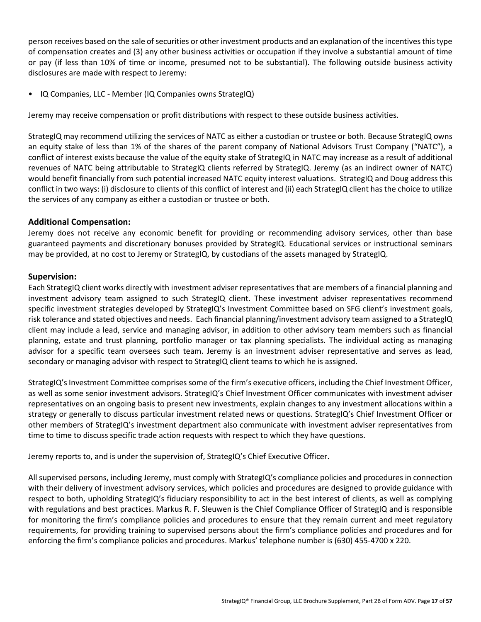person receives based on the sale of securities or other investment products and an explanation of the incentives this type of compensation creates and (3) any other business activities or occupation if they involve a substantial amount of time or pay (if less than 10% of time or income, presumed not to be substantial). The following outside business activity disclosures are made with respect to Jeremy:

• IQ Companies, LLC - Member (IQ Companies owns StrategIQ)

Jeremy may receive compensation or profit distributions with respect to these outside business activities.

StrategIQ may recommend utilizing the services of NATC as either a custodian or trustee or both. Because StrategIQ owns an equity stake of less than 1% of the shares of the parent company of National Advisors Trust Company ("NATC"), a conflict of interest exists because the value of the equity stake of StrategIQ in NATC may increase as a result of additional revenues of NATC being attributable to StrategIQ clients referred by StrategIQ. Jeremy (as an indirect owner of NATC) would benefit financially from such potential increased NATC equity interest valuations. StrategIQ and Doug address this conflict in two ways: (i) disclosure to clients of this conflict of interest and (ii) each StrategIQ client has the choice to utilize the services of any company as either a custodian or trustee or both.

#### **Additional Compensation:**

Jeremy does not receive any economic benefit for providing or recommending advisory services, other than base guaranteed payments and discretionary bonuses provided by StrategIQ. Educational services or instructional seminars may be provided, at no cost to Jeremy or StrategIQ, by custodians of the assets managed by StrategIQ.

#### **Supervision:**

Each StrategIQ client works directly with investment adviser representatives that are members of a financial planning and investment advisory team assigned to such StrategIQ client. These investment adviser representatives recommend specific investment strategies developed by StrategIQ's Investment Committee based on SFG client's investment goals, risk tolerance and stated objectives and needs. Each financial planning/investment advisory team assigned to a StrategIQ client may include a lead, service and managing advisor, in addition to other advisory team members such as financial planning, estate and trust planning, portfolio manager or tax planning specialists. The individual acting as managing advisor for a specific team oversees such team. Jeremy is an investment adviser representative and serves as lead, secondary or managing advisor with respect to StrategIQ client teams to which he is assigned.

StrategIQ's Investment Committee comprises some of the firm's executive officers, including the Chief Investment Officer, as well as some senior investment advisors. StrategIQ's Chief Investment Officer communicates with investment adviser representatives on an ongoing basis to present new investments, explain changes to any investment allocations within a strategy or generally to discuss particular investment related news or questions. StrategIQ's Chief Investment Officer or other members of StrategIQ's investment department also communicate with investment adviser representatives from time to time to discuss specific trade action requests with respect to which they have questions.

Jeremy reports to, and is under the supervision of, StrategIQ's Chief Executive Officer.

All supervised persons, including Jeremy, must comply with StrategIQ's compliance policies and procedures in connection with their delivery of investment advisory services, which policies and procedures are designed to provide guidance with respect to both, upholding StrategIQ's fiduciary responsibility to act in the best interest of clients, as well as complying with regulations and best practices. Markus R. F. Sleuwen is the Chief Compliance Officer of StrategIQ and is responsible for monitoring the firm's compliance policies and procedures to ensure that they remain current and meet regulatory requirements, for providing training to supervised persons about the firm's compliance policies and procedures and for enforcing the firm's compliance policies and procedures. Markus' telephone number is (630) 455-4700 x 220.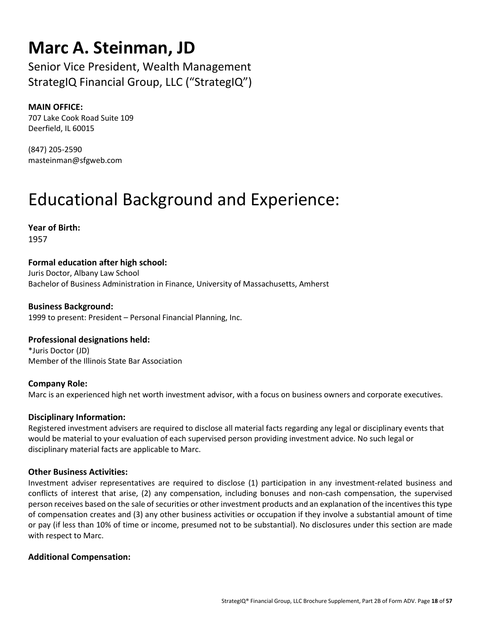### **Marc A. Steinman, JD**

Senior Vice President, Wealth Management StrategIQ Financial Group, LLC ("StrategIQ")

#### **MAIN OFFICE:**

707 Lake Cook Road Suite 109 Deerfield, IL 60015

(847) 205-2590 masteinman@sfgweb.com

## Educational Background and Experience:

**Year of Birth:**  1957

#### **Formal education after high school:**

Juris Doctor, Albany Law School Bachelor of Business Administration in Finance, University of Massachusetts, Amherst

**Business Background:**  1999 to present: President – Personal Financial Planning, Inc.

#### **Professional designations held:**

\*Juris Doctor (JD) Member of the Illinois State Bar Association

#### **Company Role:**

Marc is an experienced high net worth investment advisor, with a focus on business owners and corporate executives.

#### **Disciplinary Information:**

Registered investment advisers are required to disclose all material facts regarding any legal or disciplinary events that would be material to your evaluation of each supervised person providing investment advice. No such legal or disciplinary material facts are applicable to Marc.

#### **Other Business Activities:**

Investment adviser representatives are required to disclose (1) participation in any investment-related business and conflicts of interest that arise, (2) any compensation, including bonuses and non-cash compensation, the supervised person receives based on the sale of securities or other investment products and an explanation of the incentives this type of compensation creates and (3) any other business activities or occupation if they involve a substantial amount of time or pay (if less than 10% of time or income, presumed not to be substantial). No disclosures under this section are made with respect to Marc.

#### **Additional Compensation:**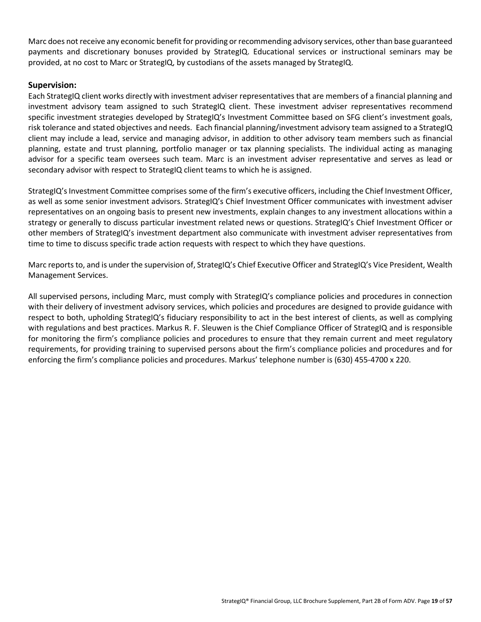Marc does not receive any economic benefit for providing or recommending advisory services, other than base guaranteed payments and discretionary bonuses provided by StrategIQ. Educational services or instructional seminars may be provided, at no cost to Marc or StrategIQ, by custodians of the assets managed by StrategIQ.

#### **Supervision:**

Each StrategIQ client works directly with investment adviser representatives that are members of a financial planning and investment advisory team assigned to such StrategIQ client. These investment adviser representatives recommend specific investment strategies developed by StrategIQ's Investment Committee based on SFG client's investment goals, risk tolerance and stated objectives and needs. Each financial planning/investment advisory team assigned to a StrategIQ client may include a lead, service and managing advisor, in addition to other advisory team members such as financial planning, estate and trust planning, portfolio manager or tax planning specialists. The individual acting as managing advisor for a specific team oversees such team. Marc is an investment adviser representative and serves as lead or secondary advisor with respect to StrategIQ client teams to which he is assigned.

StrategIQ's Investment Committee comprises some of the firm's executive officers, including the Chief Investment Officer, as well as some senior investment advisors. StrategIQ's Chief Investment Officer communicates with investment adviser representatives on an ongoing basis to present new investments, explain changes to any investment allocations within a strategy or generally to discuss particular investment related news or questions. StrategIQ's Chief Investment Officer or other members of StrategIQ's investment department also communicate with investment adviser representatives from time to time to discuss specific trade action requests with respect to which they have questions.

Marc reports to, and is under the supervision of, StrategIQ's Chief Executive Officer and StrategIQ's Vice President, Wealth Management Services.

All supervised persons, including Marc, must comply with StrategIQ's compliance policies and procedures in connection with their delivery of investment advisory services, which policies and procedures are designed to provide guidance with respect to both, upholding StrategIQ's fiduciary responsibility to act in the best interest of clients, as well as complying with regulations and best practices. Markus R. F. Sleuwen is the Chief Compliance Officer of StrategIQ and is responsible for monitoring the firm's compliance policies and procedures to ensure that they remain current and meet regulatory requirements, for providing training to supervised persons about the firm's compliance policies and procedures and for enforcing the firm's compliance policies and procedures. Markus' telephone number is (630) 455-4700 x 220.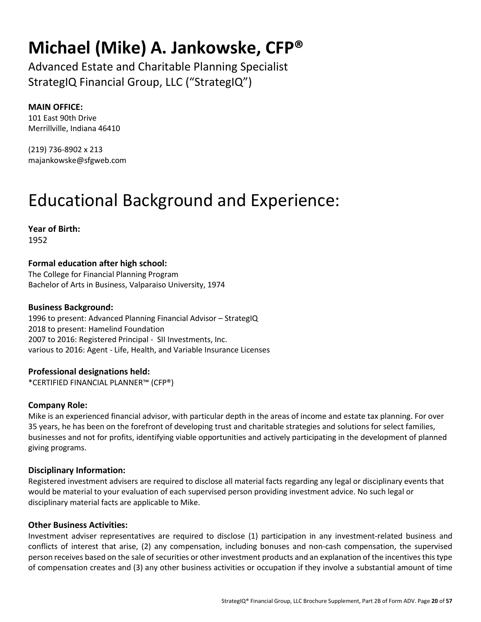### **Michael (Mike) A. Jankowske, CFP®**

Advanced Estate and Charitable Planning Specialist StrategIQ Financial Group, LLC ("StrategIQ")

#### **MAIN OFFICE:**

101 East 90th Drive Merrillville, Indiana 46410

(219) 736-8902 x 213 majankowske@sfgweb.com

## Educational Background and Experience:

**Year of Birth:**  1952

#### **Formal education after high school:**

The College for Financial Planning Program Bachelor of Arts in Business, Valparaiso University, 1974

#### **Business Background:**

1996 to present: Advanced Planning Financial Advisor – StrategIQ 2018 to present: Hamelind Foundation 2007 to 2016: Registered Principal - SII Investments, Inc. various to 2016: Agent - Life, Health, and Variable Insurance Licenses

**Professional designations held:** 

\*CERTIFIED FINANCIAL PLANNER™ (CFP®)

#### **Company Role:**

Mike is an experienced financial advisor, with particular depth in the areas of income and estate tax planning. For over 35 years, he has been on the forefront of developing trust and charitable strategies and solutions for select families, businesses and not for profits, identifying viable opportunities and actively participating in the development of planned giving programs.

#### **Disciplinary Information:**

Registered investment advisers are required to disclose all material facts regarding any legal or disciplinary events that would be material to your evaluation of each supervised person providing investment advice. No such legal or disciplinary material facts are applicable to Mike.

#### **Other Business Activities:**

Investment adviser representatives are required to disclose (1) participation in any investment-related business and conflicts of interest that arise, (2) any compensation, including bonuses and non-cash compensation, the supervised person receives based on the sale of securities or other investment products and an explanation of the incentives this type of compensation creates and (3) any other business activities or occupation if they involve a substantial amount of time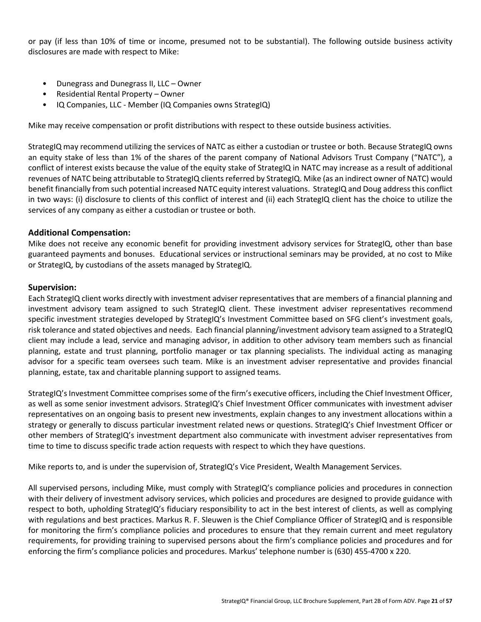or pay (if less than 10% of time or income, presumed not to be substantial). The following outside business activity disclosures are made with respect to Mike:

- Dunegrass and Dunegrass II, LLC Owner
- Residential Rental Property Owner
- IQ Companies, LLC Member (IQ Companies owns StrategIQ)

Mike may receive compensation or profit distributions with respect to these outside business activities.

StrategIQ may recommend utilizing the services of NATC as either a custodian or trustee or both. Because StrategIQ owns an equity stake of less than 1% of the shares of the parent company of National Advisors Trust Company ("NATC"), a conflict of interest exists because the value of the equity stake of StrategIQ in NATC may increase as a result of additional revenues of NATC being attributable to StrategIQ clients referred by StrategIQ. Mike (as an indirect owner of NATC) would benefit financially from such potential increased NATC equity interest valuations. StrategIQ and Doug address this conflict in two ways: (i) disclosure to clients of this conflict of interest and (ii) each StrategIQ client has the choice to utilize the services of any company as either a custodian or trustee or both.

#### **Additional Compensation:**

Mike does not receive any economic benefit for providing investment advisory services for StrategIQ, other than base guaranteed payments and bonuses. Educational services or instructional seminars may be provided, at no cost to Mike or StrategIQ, by custodians of the assets managed by StrategIQ.

#### **Supervision:**

Each StrategIQ client works directly with investment adviser representatives that are members of a financial planning and investment advisory team assigned to such StrategIQ client. These investment adviser representatives recommend specific investment strategies developed by StrategIQ's Investment Committee based on SFG client's investment goals, risk tolerance and stated objectives and needs. Each financial planning/investment advisory team assigned to a StrategIQ client may include a lead, service and managing advisor, in addition to other advisory team members such as financial planning, estate and trust planning, portfolio manager or tax planning specialists. The individual acting as managing advisor for a specific team oversees such team. Mike is an investment adviser representative and provides financial planning, estate, tax and charitable planning support to assigned teams.

StrategIQ's Investment Committee comprises some of the firm's executive officers, including the Chief Investment Officer, as well as some senior investment advisors. StrategIQ's Chief Investment Officer communicates with investment adviser representatives on an ongoing basis to present new investments, explain changes to any investment allocations within a strategy or generally to discuss particular investment related news or questions. StrategIQ's Chief Investment Officer or other members of StrategIQ's investment department also communicate with investment adviser representatives from time to time to discuss specific trade action requests with respect to which they have questions.

Mike reports to, and is under the supervision of, StrategIQ's Vice President, Wealth Management Services.

All supervised persons, including Mike, must comply with StrategIQ's compliance policies and procedures in connection with their delivery of investment advisory services, which policies and procedures are designed to provide guidance with respect to both, upholding StrategIQ's fiduciary responsibility to act in the best interest of clients, as well as complying with regulations and best practices. Markus R. F. Sleuwen is the Chief Compliance Officer of StrategIQ and is responsible for monitoring the firm's compliance policies and procedures to ensure that they remain current and meet regulatory requirements, for providing training to supervised persons about the firm's compliance policies and procedures and for enforcing the firm's compliance policies and procedures. Markus' telephone number is (630) 455-4700 x 220.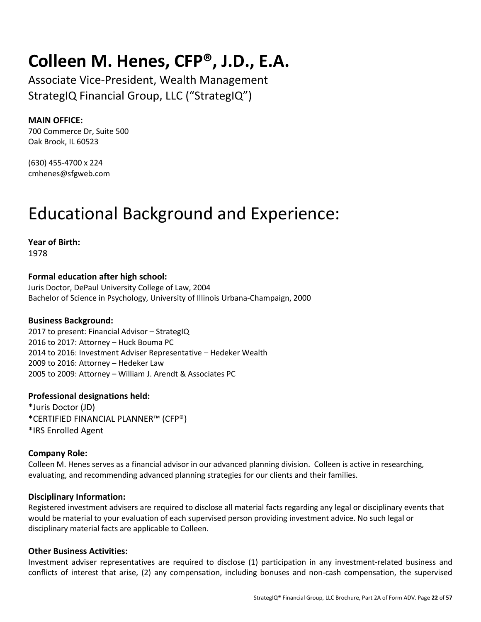### **Colleen M. Henes, CFP®, J.D., E.A.**

Associate Vice-President, Wealth Management StrategIQ Financial Group, LLC ("StrategIQ")

#### **MAIN OFFICE:**

700 Commerce Dr, Suite 500 Oak Brook, IL 60523

(630) 455-4700 x 224 cmhenes@sfgweb.com

### Educational Background and Experience:

**Year of Birth:**  1978

**Formal education after high school:** 

Juris Doctor, DePaul University College of Law, 2004 Bachelor of Science in Psychology, University of Illinois Urbana-Champaign, 2000

#### **Business Background:**

2017 to present: Financial Advisor – StrategIQ 2016 to 2017: Attorney – Huck Bouma PC 2014 to 2016: Investment Adviser Representative – Hedeker Wealth 2009 to 2016: Attorney – Hedeker Law 2005 to 2009: Attorney – William J. Arendt & Associates PC

#### **Professional designations held:**

\*Juris Doctor (JD) \*CERTIFIED FINANCIAL PLANNER™ (CFP®) \*IRS Enrolled Agent

#### **Company Role:**

Colleen M. Henes serves as a financial advisor in our advanced planning division. Colleen is active in researching, evaluating, and recommending advanced planning strategies for our clients and their families.

#### **Disciplinary Information:**

Registered investment advisers are required to disclose all material facts regarding any legal or disciplinary events that would be material to your evaluation of each supervised person providing investment advice. No such legal or disciplinary material facts are applicable to Colleen.

#### **Other Business Activities:**

Investment adviser representatives are required to disclose (1) participation in any investment-related business and conflicts of interest that arise, (2) any compensation, including bonuses and non-cash compensation, the supervised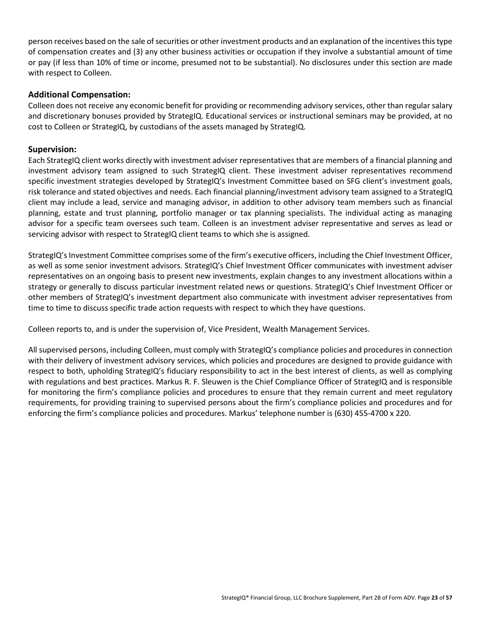person receives based on the sale of securities or other investment products and an explanation of the incentives this type of compensation creates and (3) any other business activities or occupation if they involve a substantial amount of time or pay (if less than 10% of time or income, presumed not to be substantial). No disclosures under this section are made with respect to Colleen.

#### **Additional Compensation:**

Colleen does not receive any economic benefit for providing or recommending advisory services, other than regular salary and discretionary bonuses provided by StrategIQ. Educational services or instructional seminars may be provided, at no cost to Colleen or StrategIQ, by custodians of the assets managed by StrategIQ.

#### **Supervision:**

Each StrategIQ client works directly with investment adviser representatives that are members of a financial planning and investment advisory team assigned to such StrategIQ client. These investment adviser representatives recommend specific investment strategies developed by StrategIQ's Investment Committee based on SFG client's investment goals, risk tolerance and stated objectives and needs. Each financial planning/investment advisory team assigned to a StrategIQ client may include a lead, service and managing advisor, in addition to other advisory team members such as financial planning, estate and trust planning, portfolio manager or tax planning specialists. The individual acting as managing advisor for a specific team oversees such team. Colleen is an investment adviser representative and serves as lead or servicing advisor with respect to StrategIQ client teams to which she is assigned.

StrategIQ's Investment Committee comprises some of the firm's executive officers, including the Chief Investment Officer, as well as some senior investment advisors. StrategIQ's Chief Investment Officer communicates with investment adviser representatives on an ongoing basis to present new investments, explain changes to any investment allocations within a strategy or generally to discuss particular investment related news or questions. StrategIQ's Chief Investment Officer or other members of StrategIQ's investment department also communicate with investment adviser representatives from time to time to discuss specific trade action requests with respect to which they have questions.

Colleen reports to, and is under the supervision of, Vice President, Wealth Management Services.

All supervised persons, including Colleen, must comply with StrategIQ's compliance policies and procedures in connection with their delivery of investment advisory services, which policies and procedures are designed to provide guidance with respect to both, upholding StrategIQ's fiduciary responsibility to act in the best interest of clients, as well as complying with regulations and best practices. Markus R. F. Sleuwen is the Chief Compliance Officer of StrategIQ and is responsible for monitoring the firm's compliance policies and procedures to ensure that they remain current and meet regulatory requirements, for providing training to supervised persons about the firm's compliance policies and procedures and for enforcing the firm's compliance policies and procedures. Markus' telephone number is (630) 455-4700 x 220.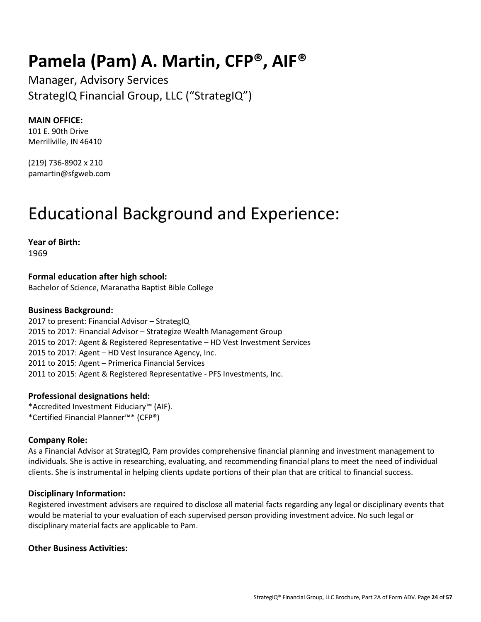### **Pamela (Pam) A. Martin, CFP®, AIF®**

Manager, Advisory Services StrategIQ Financial Group, LLC ("StrategIQ")

#### **MAIN OFFICE:**

101 E. 90th Drive Merrillville, IN 46410

(219) 736-8902 x 210 pamartin@sfgweb.com

### Educational Background and Experience:

**Year of Birth:** 

1969

**Formal education after high school:**  Bachelor of Science, Maranatha Baptist Bible College

#### **Business Background:**

2017 to present: Financial Advisor – StrategIQ 2015 to 2017: Financial Advisor – Strategize Wealth Management Group 2015 to 2017: Agent & Registered Representative – HD Vest Investment Services 2015 to 2017: Agent – HD Vest Insurance Agency, Inc. 2011 to 2015: Agent – Primerica Financial Services 2011 to 2015: Agent & Registered Representative - PFS Investments, Inc.

#### **Professional designations held:**

\*Accredited Investment Fiduciary™ (AIF). \*Certified Financial Planner™\* (CFP®)

#### **Company Role:**

As a Financial Advisor at StrategIQ, Pam provides comprehensive financial planning and investment management to individuals. She is active in researching, evaluating, and recommending financial plans to meet the need of individual clients. She is instrumental in helping clients update portions of their plan that are critical to financial success.

#### **Disciplinary Information:**

Registered investment advisers are required to disclose all material facts regarding any legal or disciplinary events that would be material to your evaluation of each supervised person providing investment advice. No such legal or disciplinary material facts are applicable to Pam.

#### **Other Business Activities:**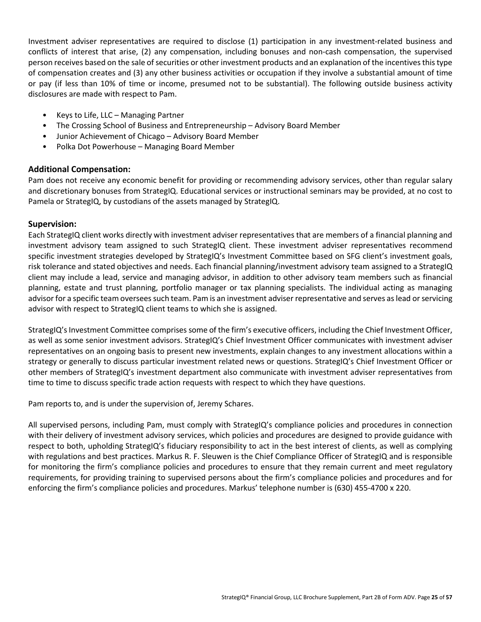Investment adviser representatives are required to disclose (1) participation in any investment-related business and conflicts of interest that arise, (2) any compensation, including bonuses and non-cash compensation, the supervised person receives based on the sale of securities or other investment products and an explanation of the incentives this type of compensation creates and (3) any other business activities or occupation if they involve a substantial amount of time or pay (if less than 10% of time or income, presumed not to be substantial). The following outside business activity disclosures are made with respect to Pam.

- Keys to Life, LLC Managing Partner
- The Crossing School of Business and Entrepreneurship Advisory Board Member
- Junior Achievement of Chicago Advisory Board Member
- Polka Dot Powerhouse Managing Board Member

#### **Additional Compensation:**

Pam does not receive any economic benefit for providing or recommending advisory services, other than regular salary and discretionary bonuses from StrategIQ. Educational services or instructional seminars may be provided, at no cost to Pamela or StrategIQ, by custodians of the assets managed by StrategIQ.

#### **Supervision:**

Each StrategIQ client works directly with investment adviser representatives that are members of a financial planning and investment advisory team assigned to such StrategIQ client. These investment adviser representatives recommend specific investment strategies developed by StrategIQ's Investment Committee based on SFG client's investment goals, risk tolerance and stated objectives and needs. Each financial planning/investment advisory team assigned to a StrategIQ client may include a lead, service and managing advisor, in addition to other advisory team members such as financial planning, estate and trust planning, portfolio manager or tax planning specialists. The individual acting as managing advisor for a specific team oversees such team. Pam is an investment adviser representative and serves as lead or servicing advisor with respect to StrategIQ client teams to which she is assigned.

StrategIQ's Investment Committee comprises some of the firm's executive officers, including the Chief Investment Officer, as well as some senior investment advisors. StrategIQ's Chief Investment Officer communicates with investment adviser representatives on an ongoing basis to present new investments, explain changes to any investment allocations within a strategy or generally to discuss particular investment related news or questions. StrategIQ's Chief Investment Officer or other members of StrategIQ's investment department also communicate with investment adviser representatives from time to time to discuss specific trade action requests with respect to which they have questions.

Pam reports to, and is under the supervision of, Jeremy Schares.

All supervised persons, including Pam, must comply with StrategIQ's compliance policies and procedures in connection with their delivery of investment advisory services, which policies and procedures are designed to provide guidance with respect to both, upholding StrategIQ's fiduciary responsibility to act in the best interest of clients, as well as complying with regulations and best practices. Markus R. F. Sleuwen is the Chief Compliance Officer of StrategIQ and is responsible for monitoring the firm's compliance policies and procedures to ensure that they remain current and meet regulatory requirements, for providing training to supervised persons about the firm's compliance policies and procedures and for enforcing the firm's compliance policies and procedures. Markus' telephone number is (630) 455-4700 x 220.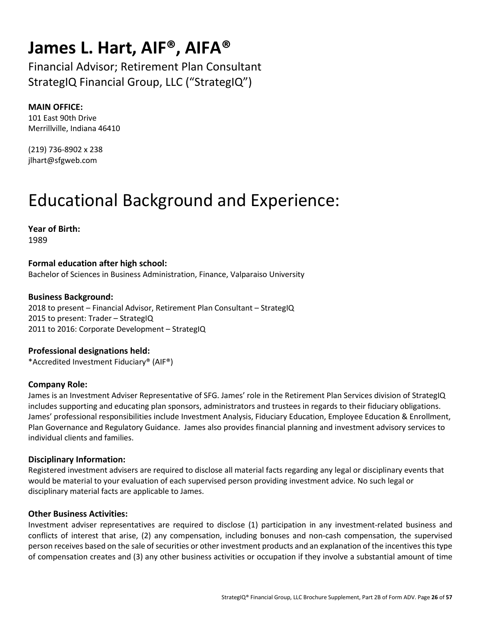### **James L. Hart, AIF®, AIFA®**

Financial Advisor; Retirement Plan Consultant StrategIQ Financial Group, LLC ("StrategIQ")

#### **MAIN OFFICE:**

101 East 90th Drive Merrillville, Indiana 46410

(219) 736-8902 x 238 jlhart@sfgweb.com

## Educational Background and Experience:

**Year of Birth:**  1989

**Formal education after high school:**  Bachelor of Sciences in Business Administration, Finance, Valparaiso University

#### **Business Background:**

2018 to present – Financial Advisor, Retirement Plan Consultant – StrategIQ 2015 to present: Trader – StrategIQ 2011 to 2016: Corporate Development – StrategIQ

### **Professional designations held:**

\*Accredited Investment Fiduciary® (AIF®)

#### **Company Role:**

James is an Investment Adviser Representative of SFG. James' role in the Retirement Plan Services division of StrategIQ includes supporting and educating plan sponsors, administrators and trustees in regards to their fiduciary obligations. James' professional responsibilities include Investment Analysis, Fiduciary Education, Employee Education & Enrollment, Plan Governance and Regulatory Guidance. James also provides financial planning and investment advisory services to individual clients and families.

#### **Disciplinary Information:**

Registered investment advisers are required to disclose all material facts regarding any legal or disciplinary events that would be material to your evaluation of each supervised person providing investment advice. No such legal or disciplinary material facts are applicable to James.

#### **Other Business Activities:**

Investment adviser representatives are required to disclose (1) participation in any investment-related business and conflicts of interest that arise, (2) any compensation, including bonuses and non-cash compensation, the supervised person receives based on the sale of securities or other investment products and an explanation of the incentives this type of compensation creates and (3) any other business activities or occupation if they involve a substantial amount of time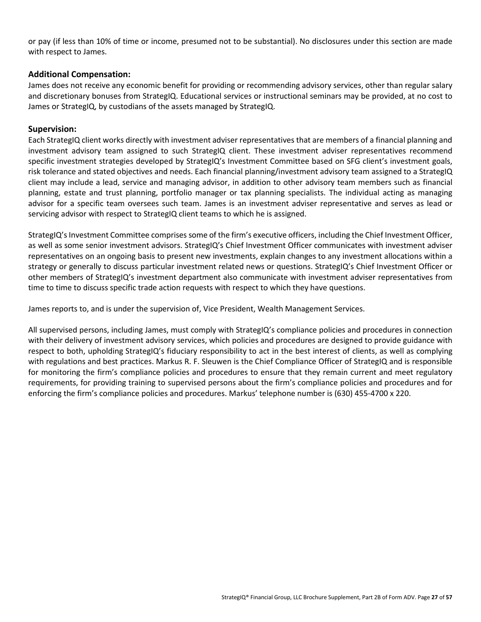or pay (if less than 10% of time or income, presumed not to be substantial). No disclosures under this section are made with respect to James.

#### **Additional Compensation:**

James does not receive any economic benefit for providing or recommending advisory services, other than regular salary and discretionary bonuses from StrategIQ. Educational services or instructional seminars may be provided, at no cost to James or StrategIQ, by custodians of the assets managed by StrategIQ.

#### **Supervision:**

Each StrategIQ client works directly with investment adviser representatives that are members of a financial planning and investment advisory team assigned to such StrategIQ client. These investment adviser representatives recommend specific investment strategies developed by StrategIQ's Investment Committee based on SFG client's investment goals, risk tolerance and stated objectives and needs. Each financial planning/investment advisory team assigned to a StrategIQ client may include a lead, service and managing advisor, in addition to other advisory team members such as financial planning, estate and trust planning, portfolio manager or tax planning specialists. The individual acting as managing advisor for a specific team oversees such team. James is an investment adviser representative and serves as lead or servicing advisor with respect to StrategIQ client teams to which he is assigned.

StrategIQ's Investment Committee comprises some of the firm's executive officers, including the Chief Investment Officer, as well as some senior investment advisors. StrategIQ's Chief Investment Officer communicates with investment adviser representatives on an ongoing basis to present new investments, explain changes to any investment allocations within a strategy or generally to discuss particular investment related news or questions. StrategIQ's Chief Investment Officer or other members of StrategIQ's investment department also communicate with investment adviser representatives from time to time to discuss specific trade action requests with respect to which they have questions.

James reports to, and is under the supervision of, Vice President, Wealth Management Services.

All supervised persons, including James, must comply with StrategIQ's compliance policies and procedures in connection with their delivery of investment advisory services, which policies and procedures are designed to provide guidance with respect to both, upholding StrategIQ's fiduciary responsibility to act in the best interest of clients, as well as complying with regulations and best practices. Markus R. F. Sleuwen is the Chief Compliance Officer of StrategIQ and is responsible for monitoring the firm's compliance policies and procedures to ensure that they remain current and meet regulatory requirements, for providing training to supervised persons about the firm's compliance policies and procedures and for enforcing the firm's compliance policies and procedures. Markus' telephone number is (630) 455-4700 x 220.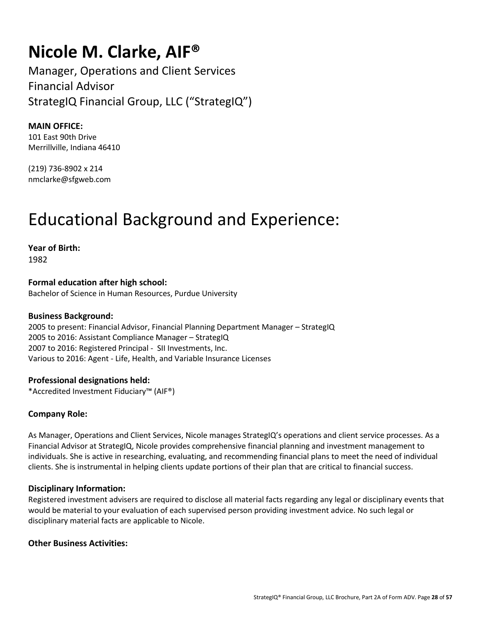### **Nicole M. Clarke, AIF®**

Manager, Operations and Client Services Financial Advisor StrategIQ Financial Group, LLC ("StrategIQ")

**MAIN OFFICE:** 101 East 90th Drive

Merrillville, Indiana 46410

(219) 736-8902 x 214 nmclarke@sfgweb.com

### Educational Background and Experience:

**Year of Birth:**  1982

**Formal education after high school:**  Bachelor of Science in Human Resources, Purdue University

#### **Business Background:**

2005 to present: Financial Advisor, Financial Planning Department Manager – StrategIQ 2005 to 2016: Assistant Compliance Manager – StrategIQ 2007 to 2016: Registered Principal - SII Investments, Inc. Various to 2016: Agent - Life, Health, and Variable Insurance Licenses

#### **Professional designations held:**

\*Accredited Investment Fiduciary™ (AIF®)

#### **Company Role:**

As Manager, Operations and Client Services, Nicole manages StrategIQ's operations and client service processes. As a Financial Advisor at StrategIQ, Nicole provides comprehensive financial planning and investment management to individuals. She is active in researching, evaluating, and recommending financial plans to meet the need of individual clients. She is instrumental in helping clients update portions of their plan that are critical to financial success.

#### **Disciplinary Information:**

Registered investment advisers are required to disclose all material facts regarding any legal or disciplinary events that would be material to your evaluation of each supervised person providing investment advice. No such legal or disciplinary material facts are applicable to Nicole.

#### **Other Business Activities:**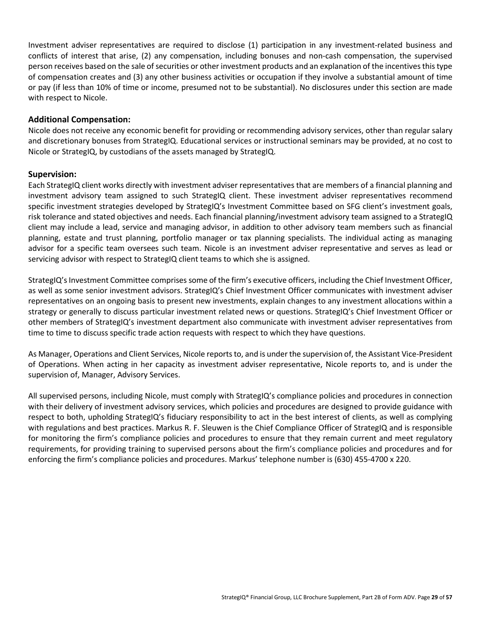Investment adviser representatives are required to disclose (1) participation in any investment-related business and conflicts of interest that arise, (2) any compensation, including bonuses and non-cash compensation, the supervised person receives based on the sale of securities or other investment products and an explanation of the incentives this type of compensation creates and (3) any other business activities or occupation if they involve a substantial amount of time or pay (if less than 10% of time or income, presumed not to be substantial). No disclosures under this section are made with respect to Nicole.

#### **Additional Compensation:**

Nicole does not receive any economic benefit for providing or recommending advisory services, other than regular salary and discretionary bonuses from StrategIQ. Educational services or instructional seminars may be provided, at no cost to Nicole or StrategIQ, by custodians of the assets managed by StrategIQ.

#### **Supervision:**

Each StrategIQ client works directly with investment adviser representatives that are members of a financial planning and investment advisory team assigned to such StrategIQ client. These investment adviser representatives recommend specific investment strategies developed by StrategIQ's Investment Committee based on SFG client's investment goals, risk tolerance and stated objectives and needs. Each financial planning/investment advisory team assigned to a StrategIQ client may include a lead, service and managing advisor, in addition to other advisory team members such as financial planning, estate and trust planning, portfolio manager or tax planning specialists. The individual acting as managing advisor for a specific team oversees such team. Nicole is an investment adviser representative and serves as lead or servicing advisor with respect to StrategIQ client teams to which she is assigned.

StrategIQ's Investment Committee comprises some of the firm's executive officers, including the Chief Investment Officer, as well as some senior investment advisors. StrategIQ's Chief Investment Officer communicates with investment adviser representatives on an ongoing basis to present new investments, explain changes to any investment allocations within a strategy or generally to discuss particular investment related news or questions. StrategIQ's Chief Investment Officer or other members of StrategIQ's investment department also communicate with investment adviser representatives from time to time to discuss specific trade action requests with respect to which they have questions.

As Manager, Operations and Client Services, Nicole reports to, and is under the supervision of, the Assistant Vice-President of Operations. When acting in her capacity as investment adviser representative, Nicole reports to, and is under the supervision of, Manager, Advisory Services.

All supervised persons, including Nicole, must comply with StrategIQ's compliance policies and procedures in connection with their delivery of investment advisory services, which policies and procedures are designed to provide guidance with respect to both, upholding StrategIQ's fiduciary responsibility to act in the best interest of clients, as well as complying with regulations and best practices. Markus R. F. Sleuwen is the Chief Compliance Officer of StrategIQ and is responsible for monitoring the firm's compliance policies and procedures to ensure that they remain current and meet regulatory requirements, for providing training to supervised persons about the firm's compliance policies and procedures and for enforcing the firm's compliance policies and procedures. Markus' telephone number is (630) 455-4700 x 220.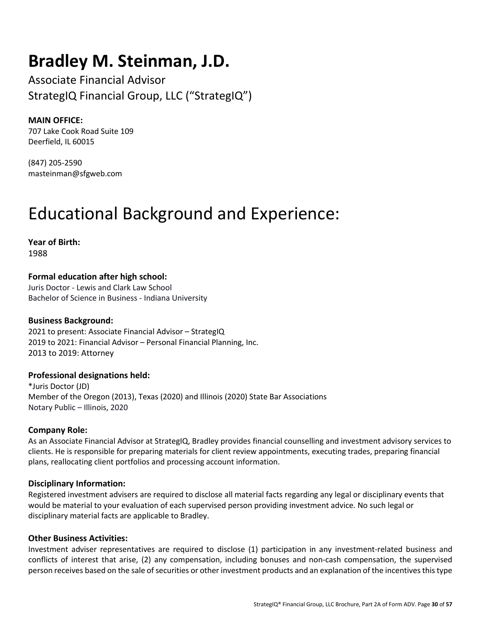### **Bradley M. Steinman, J.D.**

Associate Financial Advisor StrategIQ Financial Group, LLC ("StrategIQ")

#### **MAIN OFFICE:**

707 Lake Cook Road Suite 109 Deerfield, IL 60015

(847) 205-2590 masteinman@sfgweb.com

### Educational Background and Experience:

**Year of Birth:**  1988

**Formal education after high school:** 

Juris Doctor - Lewis and Clark Law School Bachelor of Science in Business - Indiana University

#### **Business Background:**

2021 to present: Associate Financial Advisor – StrategIQ 2019 to 2021: Financial Advisor – Personal Financial Planning, Inc. 2013 to 2019: Attorney

#### **Professional designations held:**

\*Juris Doctor (JD) Member of the Oregon (2013), Texas (2020) and Illinois (2020) State Bar Associations Notary Public – Illinois, 2020

#### **Company Role:**

As an Associate Financial Advisor at StrategIQ, Bradley provides financial counselling and investment advisory services to clients. He is responsible for preparing materials for client review appointments, executing trades, preparing financial plans, reallocating client portfolios and processing account information.

#### **Disciplinary Information:**

Registered investment advisers are required to disclose all material facts regarding any legal or disciplinary events that would be material to your evaluation of each supervised person providing investment advice. No such legal or disciplinary material facts are applicable to Bradley.

#### **Other Business Activities:**

Investment adviser representatives are required to disclose (1) participation in any investment-related business and conflicts of interest that arise, (2) any compensation, including bonuses and non-cash compensation, the supervised person receives based on the sale of securities or other investment products and an explanation of the incentives this type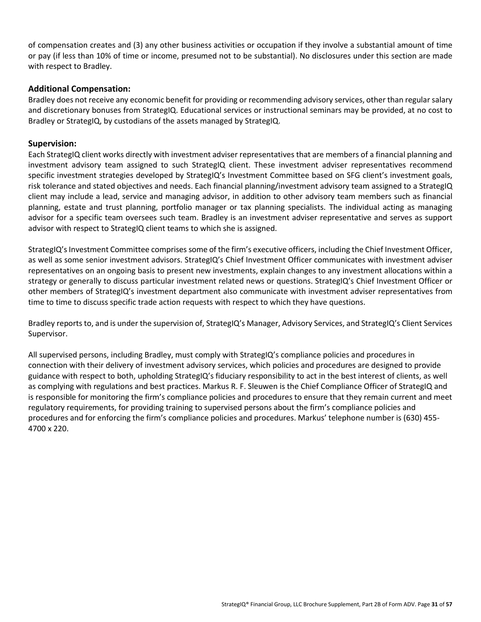of compensation creates and (3) any other business activities or occupation if they involve a substantial amount of time or pay (if less than 10% of time or income, presumed not to be substantial). No disclosures under this section are made with respect to Bradley.

#### **Additional Compensation:**

Bradley does not receive any economic benefit for providing or recommending advisory services, other than regular salary and discretionary bonuses from StrategIQ. Educational services or instructional seminars may be provided, at no cost to Bradley or StrategIQ, by custodians of the assets managed by StrategIQ.

#### **Supervision:**

Each StrategIQ client works directly with investment adviser representatives that are members of a financial planning and investment advisory team assigned to such StrategIQ client. These investment adviser representatives recommend specific investment strategies developed by StrategIQ's Investment Committee based on SFG client's investment goals, risk tolerance and stated objectives and needs. Each financial planning/investment advisory team assigned to a StrategIQ client may include a lead, service and managing advisor, in addition to other advisory team members such as financial planning, estate and trust planning, portfolio manager or tax planning specialists. The individual acting as managing advisor for a specific team oversees such team. Bradley is an investment adviser representative and serves as support advisor with respect to StrategIQ client teams to which she is assigned.

StrategIQ's Investment Committee comprises some of the firm's executive officers, including the Chief Investment Officer, as well as some senior investment advisors. StrategIQ's Chief Investment Officer communicates with investment adviser representatives on an ongoing basis to present new investments, explain changes to any investment allocations within a strategy or generally to discuss particular investment related news or questions. StrategIQ's Chief Investment Officer or other members of StrategIQ's investment department also communicate with investment adviser representatives from time to time to discuss specific trade action requests with respect to which they have questions.

Bradley reports to, and is under the supervision of, StrategIQ's Manager, Advisory Services, and StrategIQ's Client Services Supervisor.

All supervised persons, including Bradley, must comply with StrategIQ's compliance policies and procedures in connection with their delivery of investment advisory services, which policies and procedures are designed to provide guidance with respect to both, upholding StrategIQ's fiduciary responsibility to act in the best interest of clients, as well as complying with regulations and best practices. Markus R. F. Sleuwen is the Chief Compliance Officer of StrategIQ and is responsible for monitoring the firm's compliance policies and procedures to ensure that they remain current and meet regulatory requirements, for providing training to supervised persons about the firm's compliance policies and procedures and for enforcing the firm's compliance policies and procedures. Markus' telephone number is (630) 455- 4700 x 220.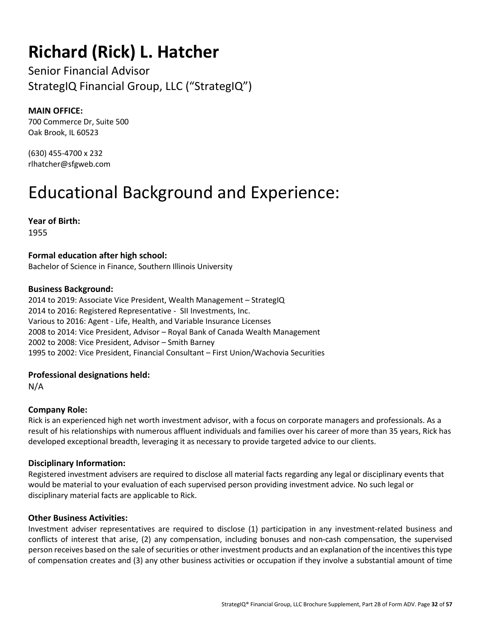# **Richard (Rick) L. Hatcher**

Senior Financial Advisor StrategIQ Financial Group, LLC ("StrategIQ")

#### **MAIN OFFICE:**

700 Commerce Dr, Suite 500 Oak Brook, IL 60523

(630) 455-4700 x 232 rlhatcher@sfgweb.com

### Educational Background and Experience:

**Year of Birth:**  1955

**Formal education after high school:**  Bachelor of Science in Finance, Southern Illinois University

#### **Business Background:**

2014 to 2019: Associate Vice President, Wealth Management – StrategIQ 2014 to 2016: Registered Representative - SII Investments, Inc. Various to 2016: Agent - Life, Health, and Variable Insurance Licenses 2008 to 2014: Vice President, Advisor – Royal Bank of Canada Wealth Management 2002 to 2008: Vice President, Advisor – Smith Barney 1995 to 2002: Vice President, Financial Consultant – First Union/Wachovia Securities

#### **Professional designations held:**

N/A

#### **Company Role:**

Rick is an experienced high net worth investment advisor, with a focus on corporate managers and professionals. As a result of his relationships with numerous affluent individuals and families over his career of more than 35 years, Rick has developed exceptional breadth, leveraging it as necessary to provide targeted advice to our clients.

#### **Disciplinary Information:**

Registered investment advisers are required to disclose all material facts regarding any legal or disciplinary events that would be material to your evaluation of each supervised person providing investment advice. No such legal or disciplinary material facts are applicable to Rick.

#### **Other Business Activities:**

Investment adviser representatives are required to disclose (1) participation in any investment-related business and conflicts of interest that arise, (2) any compensation, including bonuses and non-cash compensation, the supervised person receives based on the sale of securities or other investment products and an explanation of the incentives this type of compensation creates and (3) any other business activities or occupation if they involve a substantial amount of time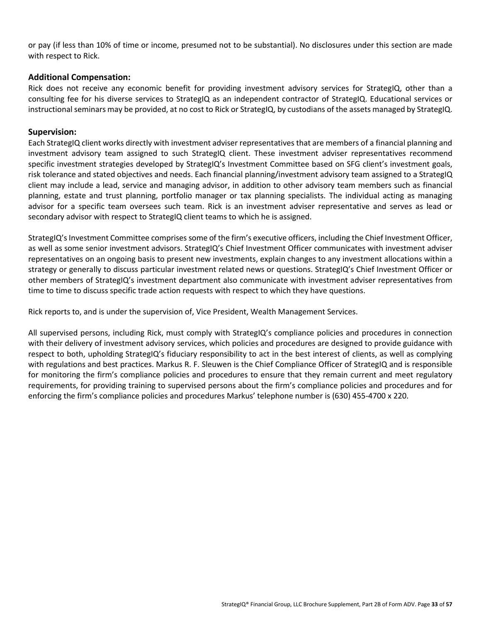or pay (if less than 10% of time or income, presumed not to be substantial). No disclosures under this section are made with respect to Rick.

#### **Additional Compensation:**

Rick does not receive any economic benefit for providing investment advisory services for StrategIQ, other than a consulting fee for his diverse services to StrategIQ as an independent contractor of StrategIQ. Educational services or instructional seminars may be provided, at no cost to Rick or StrategIQ, by custodians of the assets managed by StrategIQ.

#### **Supervision:**

Each StrategIQ client works directly with investment adviser representatives that are members of a financial planning and investment advisory team assigned to such StrategIQ client. These investment adviser representatives recommend specific investment strategies developed by StrategIQ's Investment Committee based on SFG client's investment goals, risk tolerance and stated objectives and needs. Each financial planning/investment advisory team assigned to a StrategIQ client may include a lead, service and managing advisor, in addition to other advisory team members such as financial planning, estate and trust planning, portfolio manager or tax planning specialists. The individual acting as managing advisor for a specific team oversees such team. Rick is an investment adviser representative and serves as lead or secondary advisor with respect to StrategIQ client teams to which he is assigned.

StrategIQ's Investment Committee comprises some of the firm's executive officers, including the Chief Investment Officer, as well as some senior investment advisors. StrategIQ's Chief Investment Officer communicates with investment adviser representatives on an ongoing basis to present new investments, explain changes to any investment allocations within a strategy or generally to discuss particular investment related news or questions. StrategIQ's Chief Investment Officer or other members of StrategIQ's investment department also communicate with investment adviser representatives from time to time to discuss specific trade action requests with respect to which they have questions.

Rick reports to, and is under the supervision of, Vice President, Wealth Management Services.

All supervised persons, including Rick, must comply with StrategIQ's compliance policies and procedures in connection with their delivery of investment advisory services, which policies and procedures are designed to provide guidance with respect to both, upholding StrategIQ's fiduciary responsibility to act in the best interest of clients, as well as complying with regulations and best practices. Markus R. F. Sleuwen is the Chief Compliance Officer of StrategIQ and is responsible for monitoring the firm's compliance policies and procedures to ensure that they remain current and meet regulatory requirements, for providing training to supervised persons about the firm's compliance policies and procedures and for enforcing the firm's compliance policies and procedures Markus' telephone number is (630) 455-4700 x 220.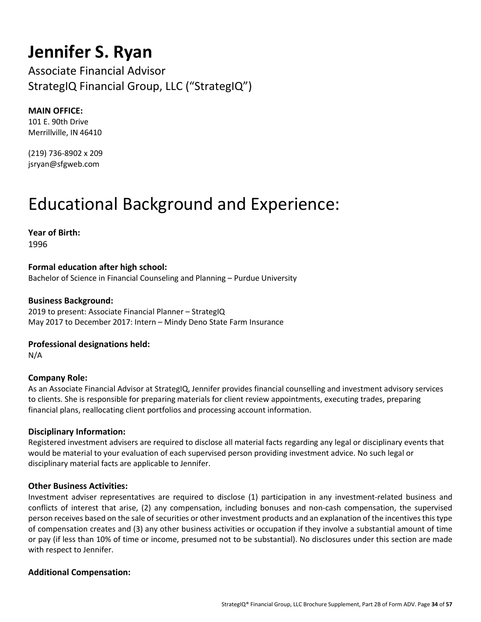### **Jennifer S. Ryan**

Associate Financial Advisor StrategIQ Financial Group, LLC ("StrategIQ")

#### **MAIN OFFICE:**

101 E. 90th Drive Merrillville, IN 46410

(219) 736-8902 x 209 jsryan@sfgweb.com

### Educational Background and Experience:

**Year of Birth:** 

1996

#### **Formal education after high school:**

Bachelor of Science in Financial Counseling and Planning – Purdue University

#### **Business Background:**

2019 to present: Associate Financial Planner – StrategIQ May 2017 to December 2017: Intern – Mindy Deno State Farm Insurance

#### **Professional designations held:**

N/A

#### **Company Role:**

As an Associate Financial Advisor at StrategIQ, Jennifer provides financial counselling and investment advisory services to clients. She is responsible for preparing materials for client review appointments, executing trades, preparing financial plans, reallocating client portfolios and processing account information.

#### **Disciplinary Information:**

Registered investment advisers are required to disclose all material facts regarding any legal or disciplinary events that would be material to your evaluation of each supervised person providing investment advice. No such legal or disciplinary material facts are applicable to Jennifer.

#### **Other Business Activities:**

Investment adviser representatives are required to disclose (1) participation in any investment-related business and conflicts of interest that arise, (2) any compensation, including bonuses and non-cash compensation, the supervised person receives based on the sale of securities or other investment products and an explanation of the incentives this type of compensation creates and (3) any other business activities or occupation if they involve a substantial amount of time or pay (if less than 10% of time or income, presumed not to be substantial). No disclosures under this section are made with respect to Jennifer.

#### **Additional Compensation:**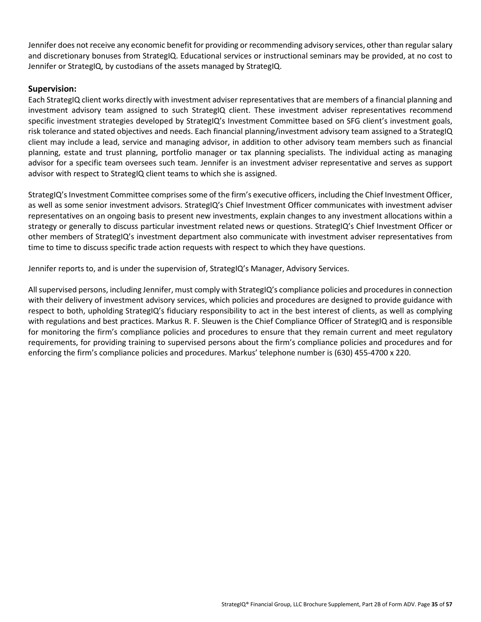Jennifer does not receive any economic benefit for providing or recommending advisory services, other than regular salary and discretionary bonuses from StrategIQ. Educational services or instructional seminars may be provided, at no cost to Jennifer or StrategIQ, by custodians of the assets managed by StrategIQ.

#### **Supervision:**

Each StrategIQ client works directly with investment adviser representatives that are members of a financial planning and investment advisory team assigned to such StrategIQ client. These investment adviser representatives recommend specific investment strategies developed by StrategIQ's Investment Committee based on SFG client's investment goals, risk tolerance and stated objectives and needs. Each financial planning/investment advisory team assigned to a StrategIQ client may include a lead, service and managing advisor, in addition to other advisory team members such as financial planning, estate and trust planning, portfolio manager or tax planning specialists. The individual acting as managing advisor for a specific team oversees such team. Jennifer is an investment adviser representative and serves as support advisor with respect to StrategIQ client teams to which she is assigned.

StrategIQ's Investment Committee comprises some of the firm's executive officers, including the Chief Investment Officer, as well as some senior investment advisors. StrategIQ's Chief Investment Officer communicates with investment adviser representatives on an ongoing basis to present new investments, explain changes to any investment allocations within a strategy or generally to discuss particular investment related news or questions. StrategIQ's Chief Investment Officer or other members of StrategIQ's investment department also communicate with investment adviser representatives from time to time to discuss specific trade action requests with respect to which they have questions.

Jennifer reports to, and is under the supervision of, StrategIQ's Manager, Advisory Services.

All supervised persons, including Jennifer, must comply with StrategIQ's compliance policies and procedures in connection with their delivery of investment advisory services, which policies and procedures are designed to provide guidance with respect to both, upholding StrategIQ's fiduciary responsibility to act in the best interest of clients, as well as complying with regulations and best practices. Markus R. F. Sleuwen is the Chief Compliance Officer of StrategIQ and is responsible for monitoring the firm's compliance policies and procedures to ensure that they remain current and meet regulatory requirements, for providing training to supervised persons about the firm's compliance policies and procedures and for enforcing the firm's compliance policies and procedures. Markus' telephone number is (630) 455-4700 x 220.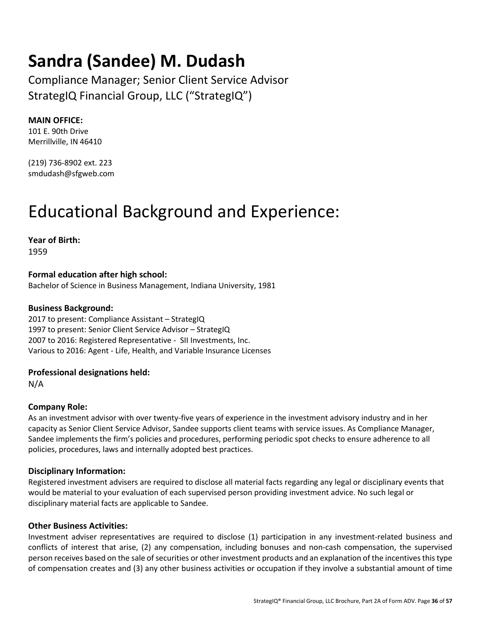### **Sandra (Sandee) M. Dudash**

Compliance Manager; Senior Client Service Advisor StrategIQ Financial Group, LLC ("StrategIQ")

#### **MAIN OFFICE:**

101 E. 90th Drive Merrillville, IN 46410

(219) 736-8902 ext. 223 smdudash@sfgweb.com

### Educational Background and Experience:

**Year of Birth:** 

1959

**Formal education after high school:**  Bachelor of Science in Business Management, Indiana University, 1981

#### **Business Background:**

2017 to present: Compliance Assistant – StrategIQ 1997 to present: Senior Client Service Advisor – StrategIQ 2007 to 2016: Registered Representative - SII Investments, Inc. Various to 2016: Agent - Life, Health, and Variable Insurance Licenses

**Professional designations held:** 

N/A

#### **Company Role:**

As an investment advisor with over twenty-five years of experience in the investment advisory industry and in her capacity as Senior Client Service Advisor, Sandee supports client teams with service issues. As Compliance Manager, Sandee implements the firm's policies and procedures, performing periodic spot checks to ensure adherence to all policies, procedures, laws and internally adopted best practices.

#### **Disciplinary Information:**

Registered investment advisers are required to disclose all material facts regarding any legal or disciplinary events that would be material to your evaluation of each supervised person providing investment advice. No such legal or disciplinary material facts are applicable to Sandee.

#### **Other Business Activities:**

Investment adviser representatives are required to disclose (1) participation in any investment-related business and conflicts of interest that arise, (2) any compensation, including bonuses and non-cash compensation, the supervised person receives based on the sale of securities or other investment products and an explanation of the incentives this type of compensation creates and (3) any other business activities or occupation if they involve a substantial amount of time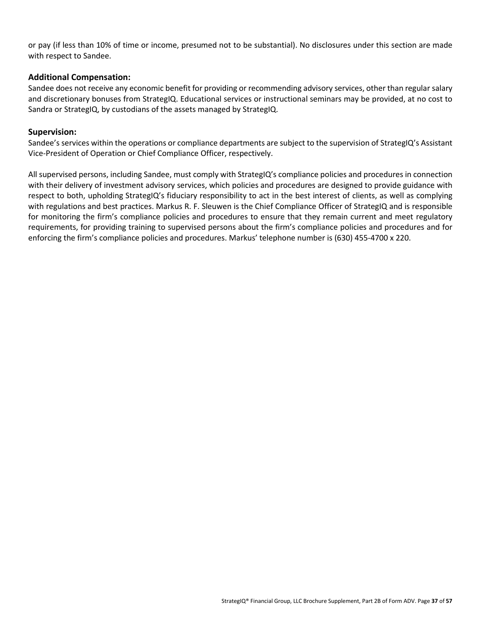or pay (if less than 10% of time or income, presumed not to be substantial). No disclosures under this section are made with respect to Sandee.

#### **Additional Compensation:**

Sandee does not receive any economic benefit for providing or recommending advisory services, other than regular salary and discretionary bonuses from StrategIQ. Educational services or instructional seminars may be provided, at no cost to Sandra or StrategIQ, by custodians of the assets managed by StrategIQ.

#### **Supervision:**

Sandee's services within the operations or compliance departments are subject to the supervision of StrategIQ's Assistant Vice-President of Operation or Chief Compliance Officer, respectively.

All supervised persons, including Sandee, must comply with StrategIQ's compliance policies and procedures in connection with their delivery of investment advisory services, which policies and procedures are designed to provide guidance with respect to both, upholding StrategIQ's fiduciary responsibility to act in the best interest of clients, as well as complying with regulations and best practices. Markus R. F. Sleuwen is the Chief Compliance Officer of StrategIQ and is responsible for monitoring the firm's compliance policies and procedures to ensure that they remain current and meet regulatory requirements, for providing training to supervised persons about the firm's compliance policies and procedures and for enforcing the firm's compliance policies and procedures. Markus' telephone number is (630) 455-4700 x 220.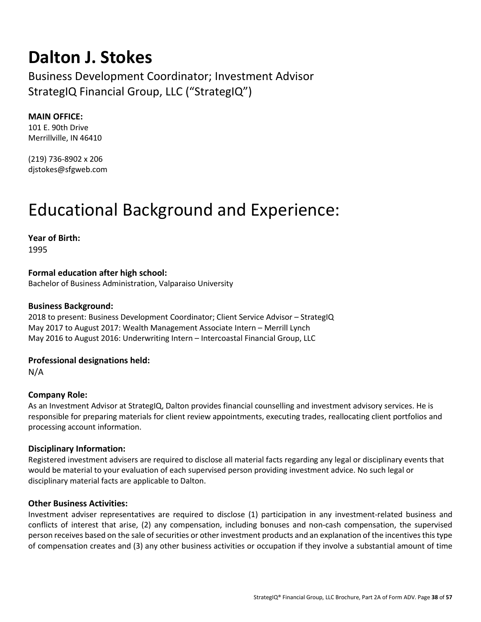### **Dalton J. Stokes**

Business Development Coordinator; Investment Advisor StrategIQ Financial Group, LLC ("StrategIQ")

#### **MAIN OFFICE:**

101 E. 90th Drive Merrillville, IN 46410

(219) 736-8902 x 206 djstokes@sfgweb.com

### Educational Background and Experience:

**Year of Birth:**  1995

**Formal education after high school:**  Bachelor of Business Administration, Valparaiso University

#### **Business Background:**

2018 to present: Business Development Coordinator; Client Service Advisor – StrategIQ May 2017 to August 2017: Wealth Management Associate Intern – Merrill Lynch May 2016 to August 2016: Underwriting Intern – Intercoastal Financial Group, LLC

#### **Professional designations held:**

N/A

#### **Company Role:**

As an Investment Advisor at StrategIQ, Dalton provides financial counselling and investment advisory services. He is responsible for preparing materials for client review appointments, executing trades, reallocating client portfolios and processing account information.

#### **Disciplinary Information:**

Registered investment advisers are required to disclose all material facts regarding any legal or disciplinary events that would be material to your evaluation of each supervised person providing investment advice. No such legal or disciplinary material facts are applicable to Dalton.

#### **Other Business Activities:**

Investment adviser representatives are required to disclose (1) participation in any investment-related business and conflicts of interest that arise, (2) any compensation, including bonuses and non-cash compensation, the supervised person receives based on the sale of securities or other investment products and an explanation of the incentives this type of compensation creates and (3) any other business activities or occupation if they involve a substantial amount of time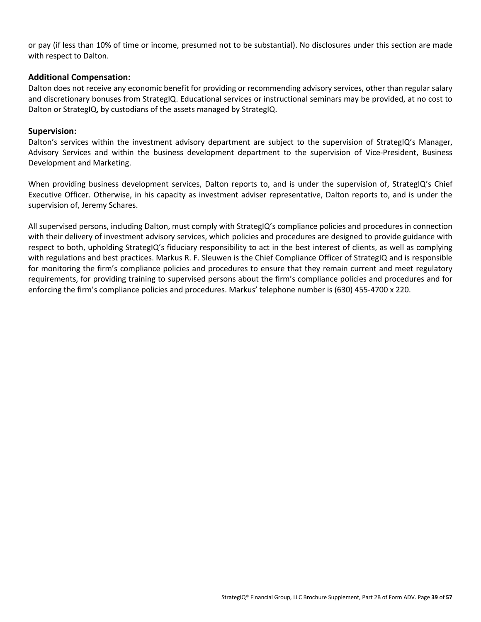or pay (if less than 10% of time or income, presumed not to be substantial). No disclosures under this section are made with respect to Dalton.

#### **Additional Compensation:**

Dalton does not receive any economic benefit for providing or recommending advisory services, other than regular salary and discretionary bonuses from StrategIQ. Educational services or instructional seminars may be provided, at no cost to Dalton or StrategIQ, by custodians of the assets managed by StrategIQ.

#### **Supervision:**

Dalton's services within the investment advisory department are subject to the supervision of StrategIQ's Manager, Advisory Services and within the business development department to the supervision of Vice-President, Business Development and Marketing.

When providing business development services, Dalton reports to, and is under the supervision of, StrategIQ's Chief Executive Officer. Otherwise, in his capacity as investment adviser representative, Dalton reports to, and is under the supervision of, Jeremy Schares.

All supervised persons, including Dalton, must comply with StrategIQ's compliance policies and procedures in connection with their delivery of investment advisory services, which policies and procedures are designed to provide guidance with respect to both, upholding StrategIQ's fiduciary responsibility to act in the best interest of clients, as well as complying with regulations and best practices. Markus R. F. Sleuwen is the Chief Compliance Officer of StrategIQ and is responsible for monitoring the firm's compliance policies and procedures to ensure that they remain current and meet regulatory requirements, for providing training to supervised persons about the firm's compliance policies and procedures and for enforcing the firm's compliance policies and procedures. Markus' telephone number is (630) 455-4700 x 220.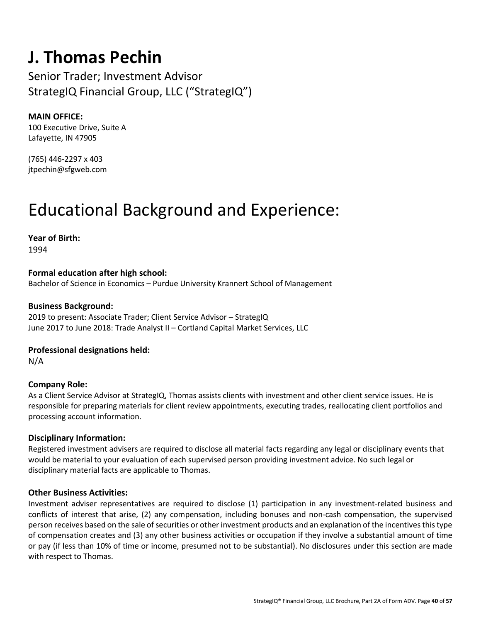### **J. Thomas Pechin**

Senior Trader; Investment Advisor StrategIQ Financial Group, LLC ("StrategIQ")

#### **MAIN OFFICE:**

100 Executive Drive, Suite A Lafayette, IN 47905

(765) 446-2297 x 403 jtpechin@sfgweb.com

### Educational Background and Experience:

**Year of Birth:**  1994

**Formal education after high school:**  Bachelor of Science in Economics – Purdue University Krannert School of Management

#### **Business Background:**

2019 to present: Associate Trader; Client Service Advisor – StrategIQ June 2017 to June 2018: Trade Analyst II – Cortland Capital Market Services, LLC

#### **Professional designations held:**

N/A

#### **Company Role:**

As a Client Service Advisor at StrategIQ, Thomas assists clients with investment and other client service issues. He is responsible for preparing materials for client review appointments, executing trades, reallocating client portfolios and processing account information.

#### **Disciplinary Information:**

Registered investment advisers are required to disclose all material facts regarding any legal or disciplinary events that would be material to your evaluation of each supervised person providing investment advice. No such legal or disciplinary material facts are applicable to Thomas.

#### **Other Business Activities:**

Investment adviser representatives are required to disclose (1) participation in any investment-related business and conflicts of interest that arise, (2) any compensation, including bonuses and non-cash compensation, the supervised person receives based on the sale of securities or other investment products and an explanation of the incentives this type of compensation creates and (3) any other business activities or occupation if they involve a substantial amount of time or pay (if less than 10% of time or income, presumed not to be substantial). No disclosures under this section are made with respect to Thomas.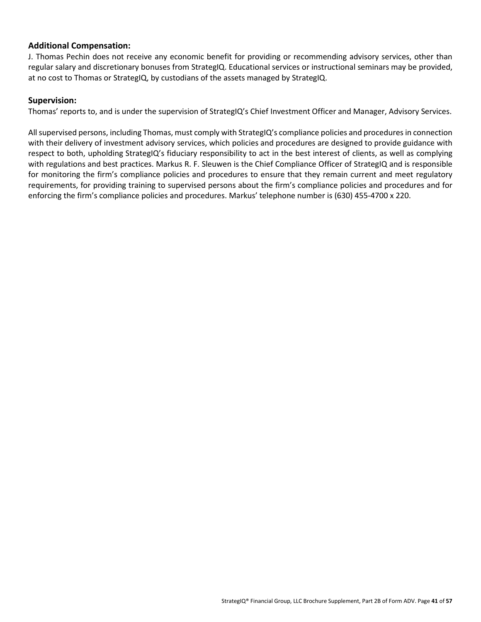#### **Additional Compensation:**

J. Thomas Pechin does not receive any economic benefit for providing or recommending advisory services, other than regular salary and discretionary bonuses from StrategIQ. Educational services or instructional seminars may be provided, at no cost to Thomas or StrategIQ, by custodians of the assets managed by StrategIQ.

#### **Supervision:**

Thomas' reports to, and is under the supervision of StrategIQ's Chief Investment Officer and Manager, Advisory Services.

All supervised persons, including Thomas, must comply with StrategIQ's compliance policies and procedures in connection with their delivery of investment advisory services, which policies and procedures are designed to provide guidance with respect to both, upholding StrategIQ's fiduciary responsibility to act in the best interest of clients, as well as complying with regulations and best practices. Markus R. F. Sleuwen is the Chief Compliance Officer of StrategIQ and is responsible for monitoring the firm's compliance policies and procedures to ensure that they remain current and meet regulatory requirements, for providing training to supervised persons about the firm's compliance policies and procedures and for enforcing the firm's compliance policies and procedures. Markus' telephone number is (630) 455-4700 x 220.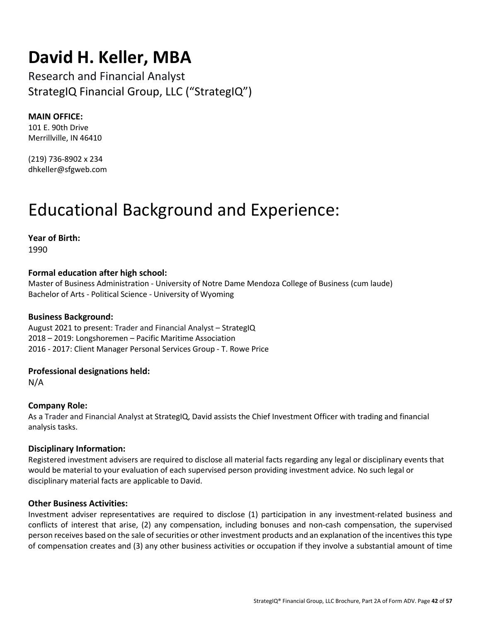### **David H. Keller, MBA**

Research and Financial Analyst StrategIQ Financial Group, LLC ("StrategIQ")

#### **MAIN OFFICE:**

101 E. 90th Drive Merrillville, IN 46410

(219) 736-8902 x 234 dhkeller@sfgweb.com

### Educational Background and Experience:

**Year of Birth:**  1990

#### **Formal education after high school:**

Master of Business Administration - University of Notre Dame Mendoza College of Business (cum laude) Bachelor of Arts - Political Science - University of Wyoming

#### **Business Background:**

August 2021 to present: Trader and Financial Analyst – StrategIQ 2018 – 2019: Longshoremen – Pacific Maritime Association 2016 - 2017: Client Manager Personal Services Group - T. Rowe Price

#### **Professional designations held:**

N/A

#### **Company Role:**

As a Trader and Financial Analyst at StrategIQ, David assists the Chief Investment Officer with trading and financial analysis tasks.

#### **Disciplinary Information:**

Registered investment advisers are required to disclose all material facts regarding any legal or disciplinary events that would be material to your evaluation of each supervised person providing investment advice. No such legal or disciplinary material facts are applicable to David.

#### **Other Business Activities:**

Investment adviser representatives are required to disclose (1) participation in any investment-related business and conflicts of interest that arise, (2) any compensation, including bonuses and non-cash compensation, the supervised person receives based on the sale of securities or other investment products and an explanation of the incentives this type of compensation creates and (3) any other business activities or occupation if they involve a substantial amount of time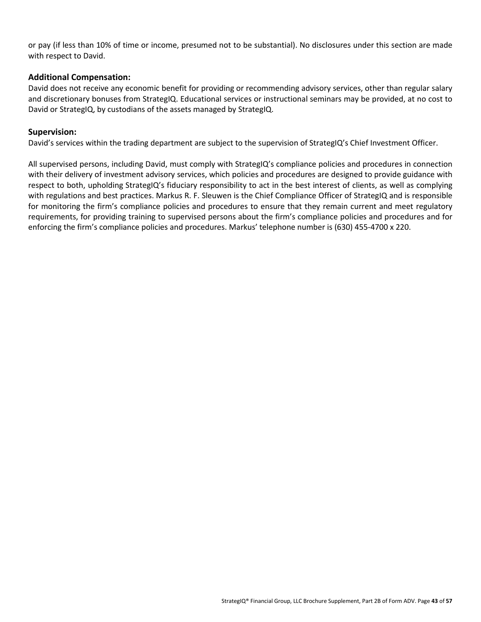or pay (if less than 10% of time or income, presumed not to be substantial). No disclosures under this section are made with respect to David.

#### **Additional Compensation:**

David does not receive any economic benefit for providing or recommending advisory services, other than regular salary and discretionary bonuses from StrategIQ. Educational services or instructional seminars may be provided, at no cost to David or StrategIQ, by custodians of the assets managed by StrategIQ.

#### **Supervision:**

David's services within the trading department are subject to the supervision of StrategIQ's Chief Investment Officer.

All supervised persons, including David, must comply with StrategIQ's compliance policies and procedures in connection with their delivery of investment advisory services, which policies and procedures are designed to provide guidance with respect to both, upholding StrategIQ's fiduciary responsibility to act in the best interest of clients, as well as complying with regulations and best practices. Markus R. F. Sleuwen is the Chief Compliance Officer of StrategIQ and is responsible for monitoring the firm's compliance policies and procedures to ensure that they remain current and meet regulatory requirements, for providing training to supervised persons about the firm's compliance policies and procedures and for enforcing the firm's compliance policies and procedures. Markus' telephone number is (630) 455-4700 x 220.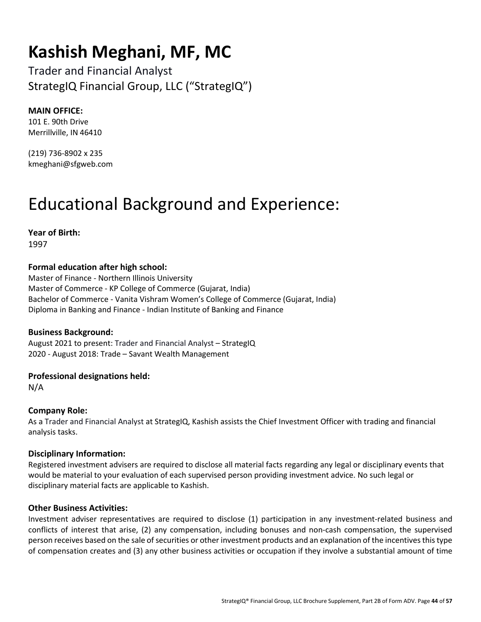### **Kashish Meghani, MF, MC**

Trader and Financial Analyst StrategIQ Financial Group, LLC ("StrategIQ")

#### **MAIN OFFICE:**

101 E. 90th Drive Merrillville, IN 46410

(219) 736-8902 x 235 kmeghani@sfgweb.com

## Educational Background and Experience:

**Year of Birth:**  1997

#### **Formal education after high school:**

Master of Finance - Northern Illinois University Master of Commerce - KP College of Commerce (Gujarat, India) Bachelor of Commerce - Vanita Vishram Women's College of Commerce (Gujarat, India) Diploma in Banking and Finance - Indian Institute of Banking and Finance

#### **Business Background:**

August 2021 to present: Trader and Financial Analyst – StrategIQ 2020 - August 2018: Trade – Savant Wealth Management

#### **Professional designations held:**

N/A

#### **Company Role:**

As a Trader and Financial Analyst at StrategIQ, Kashish assists the Chief Investment Officer with trading and financial analysis tasks.

#### **Disciplinary Information:**

Registered investment advisers are required to disclose all material facts regarding any legal or disciplinary events that would be material to your evaluation of each supervised person providing investment advice. No such legal or disciplinary material facts are applicable to Kashish.

#### **Other Business Activities:**

Investment adviser representatives are required to disclose (1) participation in any investment-related business and conflicts of interest that arise, (2) any compensation, including bonuses and non-cash compensation, the supervised person receives based on the sale of securities or other investment products and an explanation of the incentives this type of compensation creates and (3) any other business activities or occupation if they involve a substantial amount of time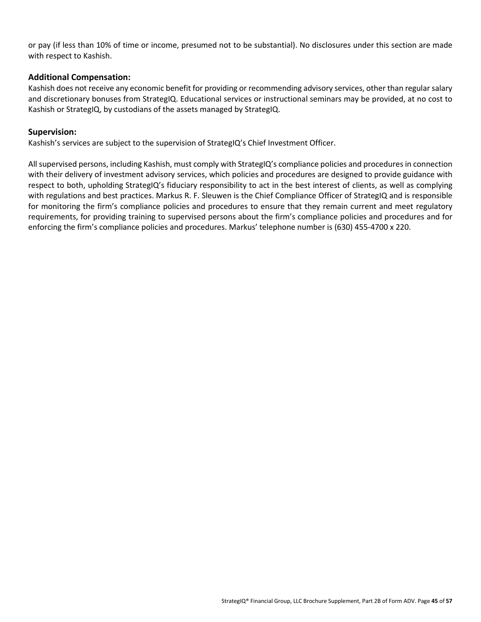or pay (if less than 10% of time or income, presumed not to be substantial). No disclosures under this section are made with respect to Kashish.

#### **Additional Compensation:**

Kashish does not receive any economic benefit for providing or recommending advisory services, other than regular salary and discretionary bonuses from StrategIQ. Educational services or instructional seminars may be provided, at no cost to Kashish or StrategIQ, by custodians of the assets managed by StrategIQ.

#### **Supervision:**

Kashish's services are subject to the supervision of StrategIQ's Chief Investment Officer.

All supervised persons, including Kashish, must comply with StrategIQ's compliance policies and procedures in connection with their delivery of investment advisory services, which policies and procedures are designed to provide guidance with respect to both, upholding StrategIQ's fiduciary responsibility to act in the best interest of clients, as well as complying with regulations and best practices. Markus R. F. Sleuwen is the Chief Compliance Officer of StrategIQ and is responsible for monitoring the firm's compliance policies and procedures to ensure that they remain current and meet regulatory requirements, for providing training to supervised persons about the firm's compliance policies and procedures and for enforcing the firm's compliance policies and procedures. Markus' telephone number is (630) 455-4700 x 220.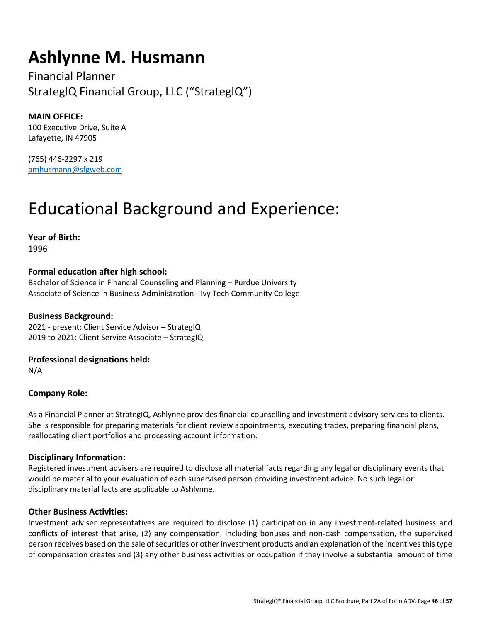### **Ashlynne M. Husmann**

Financial Planner StrategIQ Financial Group, LLC ("StrategIQ")

**MAIN OFFICE:** 100 Executive Drive, Suite A Lafayette, IN 47905

(765) 446-2297 x 219 amhusmann@sfgweb.com

### Educational Background and Experience:

**Year of Birth:**  1996

### **Formal education after high school:**

Bachelor of Science in Financial Counseling and Planning – Purdue University Associate of Science in Business Administration - Ivy Tech Community College

#### **Business Background:**

2021 - present: Client Service Advisor – StrategIQ 2019 to 2021: Client Service Associate – StrategIQ

**Professional designations held:** 

N/A

#### **Company Role:**

As a Financial Planner at StrategIQ, Ashlynne provides financial counselling and investment advisory services to clients. She is responsible for preparing materials for client review appointments, executing trades, preparing financial plans, reallocating client portfolios and processing account information.

#### **Disciplinary Information:**

Registered investment advisers are required to disclose all material facts regarding any legal or disciplinary events that would be material to your evaluation of each supervised person providing investment advice. No such legal or disciplinary material facts are applicable to Ashlynne.

#### **Other Business Activities:**

Investment adviser representatives are required to disclose (1) participation in any investment-related business and conflicts of interest that arise, (2) any compensation, including bonuses and non-cash compensation, the supervised person receives based on the sale of securities or other investment products and an explanation of the incentives this type of compensation creates and (3) any other business activities or occupation if they involve a substantial amount of time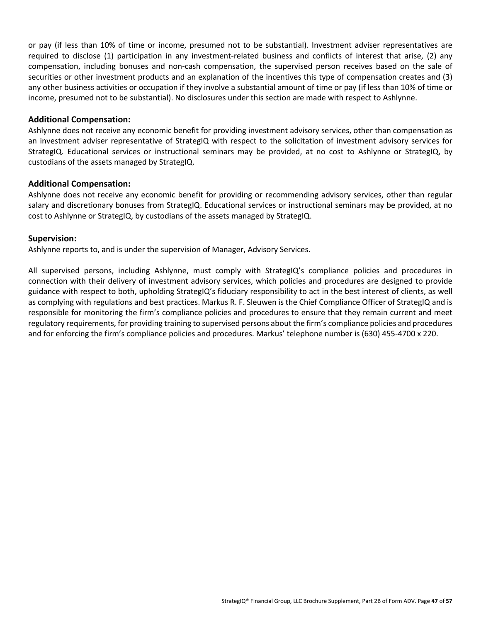or pay (if less than 10% of time or income, presumed not to be substantial). Investment adviser representatives are required to disclose (1) participation in any investment-related business and conflicts of interest that arise, (2) any compensation, including bonuses and non-cash compensation, the supervised person receives based on the sale of securities or other investment products and an explanation of the incentives this type of compensation creates and (3) any other business activities or occupation if they involve a substantial amount of time or pay (if less than 10% of time or income, presumed not to be substantial). No disclosures under this section are made with respect to Ashlynne.

#### **Additional Compensation:**

Ashlynne does not receive any economic benefit for providing investment advisory services, other than compensation as an investment adviser representative of StrategIQ with respect to the solicitation of investment advisory services for StrategIQ. Educational services or instructional seminars may be provided, at no cost to Ashlynne or StrategIQ, by custodians of the assets managed by StrategIQ.

#### **Additional Compensation:**

Ashlynne does not receive any economic benefit for providing or recommending advisory services, other than regular salary and discretionary bonuses from StrategIQ. Educational services or instructional seminars may be provided, at no cost to Ashlynne or StrategIQ, by custodians of the assets managed by StrategIQ.

#### **Supervision:**

Ashlynne reports to, and is under the supervision of Manager, Advisory Services.

All supervised persons, including Ashlynne, must comply with StrategIQ's compliance policies and procedures in connection with their delivery of investment advisory services, which policies and procedures are designed to provide guidance with respect to both, upholding StrategIQ's fiduciary responsibility to act in the best interest of clients, as well as complying with regulations and best practices. Markus R. F. Sleuwen is the Chief Compliance Officer of StrategIQ and is responsible for monitoring the firm's compliance policies and procedures to ensure that they remain current and meet regulatory requirements, for providing training to supervised persons about the firm's compliance policies and procedures and for enforcing the firm's compliance policies and procedures. Markus' telephone number is (630) 455-4700 x 220.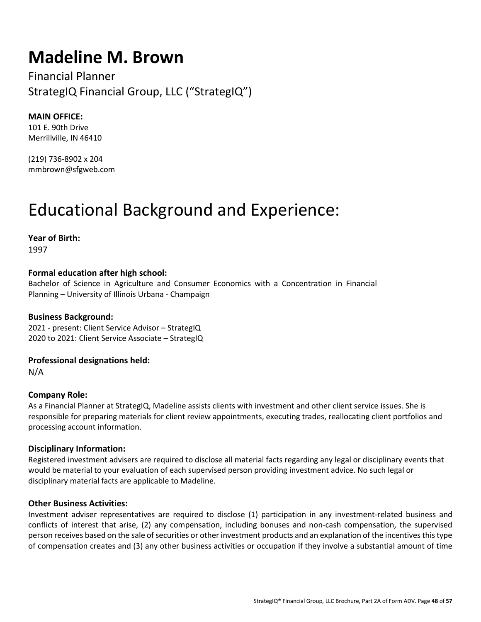### **Madeline M. Brown**

Financial Planner StrategIQ Financial Group, LLC ("StrategIQ")

**MAIN OFFICE:** 101 E. 90th Drive Merrillville, IN 46410

(219) 736-8902 x 204 mmbrown@sfgweb.com

### Educational Background and Experience:

**Year of Birth:**  1997

#### **Formal education after high school:**

Bachelor of Science in Agriculture and Consumer Economics with a Concentration in Financial Planning – University of Illinois Urbana - Champaign

#### **Business Background:**

2021 - present: Client Service Advisor – StrategIQ 2020 to 2021: Client Service Associate – StrategIQ

#### **Professional designations held:**

N/A

#### **Company Role:**

As a Financial Planner at StrategIQ, Madeline assists clients with investment and other client service issues. She is responsible for preparing materials for client review appointments, executing trades, reallocating client portfolios and processing account information.

#### **Disciplinary Information:**

Registered investment advisers are required to disclose all material facts regarding any legal or disciplinary events that would be material to your evaluation of each supervised person providing investment advice. No such legal or disciplinary material facts are applicable to Madeline.

#### **Other Business Activities:**

Investment adviser representatives are required to disclose (1) participation in any investment-related business and conflicts of interest that arise, (2) any compensation, including bonuses and non-cash compensation, the supervised person receives based on the sale of securities or other investment products and an explanation of the incentives this type of compensation creates and (3) any other business activities or occupation if they involve a substantial amount of time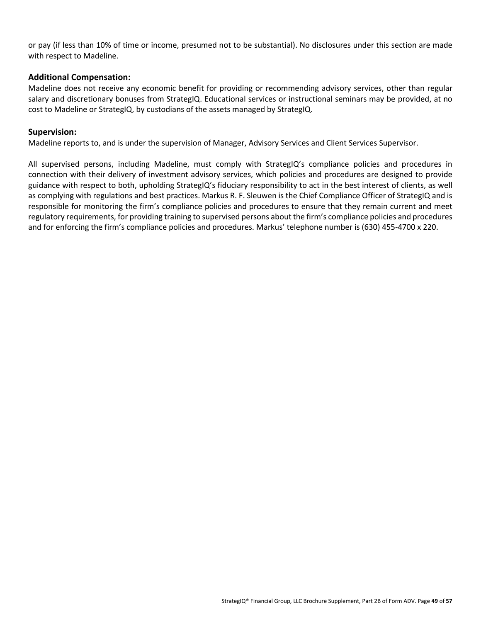or pay (if less than 10% of time or income, presumed not to be substantial). No disclosures under this section are made with respect to Madeline.

#### **Additional Compensation:**

Madeline does not receive any economic benefit for providing or recommending advisory services, other than regular salary and discretionary bonuses from StrategIQ. Educational services or instructional seminars may be provided, at no cost to Madeline or StrategIQ, by custodians of the assets managed by StrategIQ.

#### **Supervision:**

Madeline reports to, and is under the supervision of Manager, Advisory Services and Client Services Supervisor.

All supervised persons, including Madeline, must comply with StrategIQ's compliance policies and procedures in connection with their delivery of investment advisory services, which policies and procedures are designed to provide guidance with respect to both, upholding StrategIQ's fiduciary responsibility to act in the best interest of clients, as well as complying with regulations and best practices. Markus R. F. Sleuwen is the Chief Compliance Officer of StrategIQ and is responsible for monitoring the firm's compliance policies and procedures to ensure that they remain current and meet regulatory requirements, for providing training to supervised persons about the firm's compliance policies and procedures and for enforcing the firm's compliance policies and procedures. Markus' telephone number is (630) 455-4700 x 220.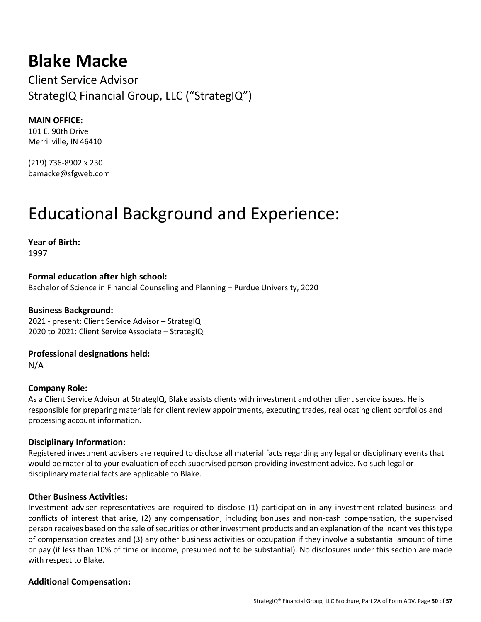### **Blake Macke**

Client Service Advisor StrategIQ Financial Group, LLC ("StrategIQ")

#### **MAIN OFFICE:**

101 E. 90th Drive Merrillville, IN 46410

(219) 736-8902 x 230 bamacke@sfgweb.com

### Educational Background and Experience:

**Year of Birth:** 

1997

**Formal education after high school:**  Bachelor of Science in Financial Counseling and Planning – Purdue University, 2020

#### **Business Background:**

2021 - present: Client Service Advisor – StrategIQ 2020 to 2021: Client Service Associate – StrategIQ

**Professional designations held:**  N/A

#### **Company Role:**

As a Client Service Advisor at StrategIQ, Blake assists clients with investment and other client service issues. He is responsible for preparing materials for client review appointments, executing trades, reallocating client portfolios and processing account information.

#### **Disciplinary Information:**

Registered investment advisers are required to disclose all material facts regarding any legal or disciplinary events that would be material to your evaluation of each supervised person providing investment advice. No such legal or disciplinary material facts are applicable to Blake.

#### **Other Business Activities:**

Investment adviser representatives are required to disclose (1) participation in any investment-related business and conflicts of interest that arise, (2) any compensation, including bonuses and non-cash compensation, the supervised person receives based on the sale of securities or other investment products and an explanation of the incentives this type of compensation creates and (3) any other business activities or occupation if they involve a substantial amount of time or pay (if less than 10% of time or income, presumed not to be substantial). No disclosures under this section are made with respect to Blake.

#### **Additional Compensation:**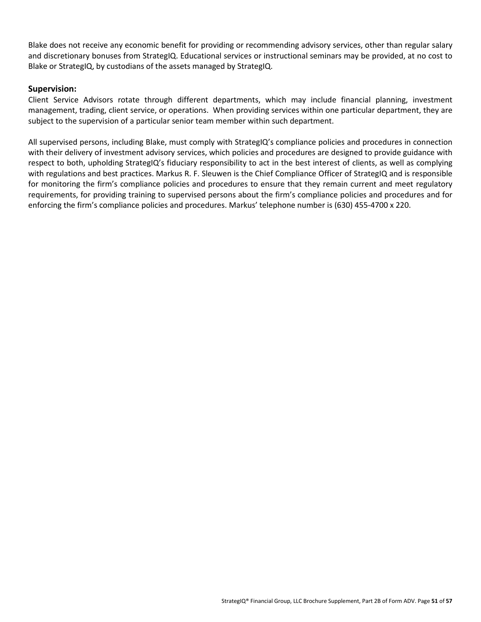Blake does not receive any economic benefit for providing or recommending advisory services, other than regular salary and discretionary bonuses from StrategIQ. Educational services or instructional seminars may be provided, at no cost to Blake or StrategIQ, by custodians of the assets managed by StrategIQ.

#### **Supervision:**

Client Service Advisors rotate through different departments, which may include financial planning, investment management, trading, client service, or operations. When providing services within one particular department, they are subject to the supervision of a particular senior team member within such department.

All supervised persons, including Blake, must comply with StrategIQ's compliance policies and procedures in connection with their delivery of investment advisory services, which policies and procedures are designed to provide guidance with respect to both, upholding StrategIQ's fiduciary responsibility to act in the best interest of clients, as well as complying with regulations and best practices. Markus R. F. Sleuwen is the Chief Compliance Officer of StrategIQ and is responsible for monitoring the firm's compliance policies and procedures to ensure that they remain current and meet regulatory requirements, for providing training to supervised persons about the firm's compliance policies and procedures and for enforcing the firm's compliance policies and procedures. Markus' telephone number is (630) 455-4700 x 220.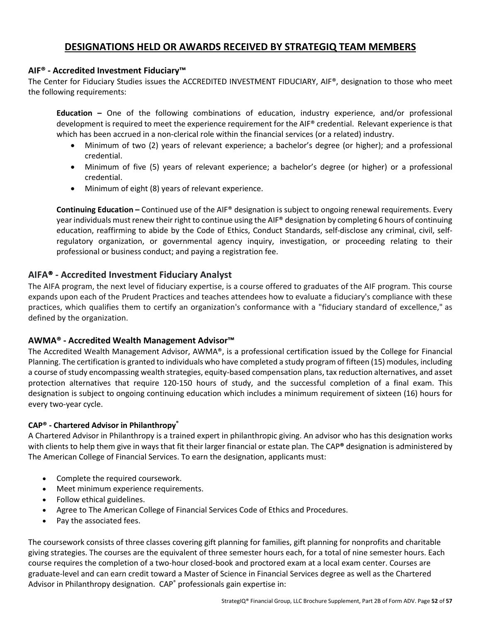#### **DESIGNATIONS HELD OR AWARDS RECEIVED BY STRATEGIQ TEAM MEMBERS**

#### **AIF® - Accredited Investment Fiduciary™**

The Center for Fiduciary Studies issues the ACCREDITED INVESTMENT FIDUCIARY, AIF®, designation to those who meet the following requirements:

**Education –** One of the following combinations of education, industry experience, and/or professional development is required to meet the experience requirement for the AIF® credential. Relevant experience is that which has been accrued in a non-clerical role within the financial services (or a related) industry.

- Minimum of two (2) years of relevant experience; a bachelor's degree (or higher); and a professional credential.
- Minimum of five (5) years of relevant experience; a bachelor's degree (or higher) or a professional credential.
- Minimum of eight (8) years of relevant experience.

**Continuing Education –** Continued use of the AIF® designation is subject to ongoing renewal requirements. Every year individuals must renew their right to continue using the AIF® designation by completing 6 hours of continuing education, reaffirming to abide by the Code of Ethics, Conduct Standards, self-disclose any criminal, civil, selfregulatory organization, or governmental agency inquiry, investigation, or proceeding relating to their professional or business conduct; and paying a registration fee.

#### **AIFA**® **- Accredited Investment Fiduciary Analyst**

The AIFA program, the next level of fiduciary expertise, is a course offered to graduates of the AIF program. This course expands upon each of the Prudent Practices and teaches attendees how to evaluate a fiduciary's compliance with these practices, which qualifies them to certify an organization's conformance with a "fiduciary standard of excellence," as defined by the organization.

#### **AWMA® - Accredited Wealth Management Advisor™**

The Accredited Wealth Management Advisor, AWMA®, is a professional certification issued by the College for Financial Planning. The certification is granted to individuals who have completed a study program of fifteen (15) modules, including a course of study encompassing wealth strategies, equity-based compensation plans, tax reduction alternatives, and asset protection alternatives that require 120-150 hours of study, and the successful completion of a final exam. This designation is subject to ongoing continuing education which includes a minimum requirement of sixteen (16) hours for every two-year cycle.

#### **CAP® - Chartered Advisor in Philanthropy®**

A Chartered Advisor in Philanthropy is a trained expert in philanthropic giving. An advisor who has this designation works with clients to help them give in ways that fit their larger financial or estate plan. The CAP**®** designation is administered by The American College of Financial Services. To earn the designation, applicants must:

- Complete the required coursework.
- Meet minimum experience requirements.
- Follow ethical guidelines.
- Agree to The American College of Financial Services Code of Ethics and Procedures.
- Pay the associated fees.

The coursework consists of three classes covering gift planning for families, gift planning for nonprofits and charitable giving strategies. The courses are the equivalent of three semester hours each, for a total of nine semester hours. Each course requires the completion of a two-hour closed-book and proctored exam at a local exam center. Courses are graduate-level and can earn credit toward a Master of Science in Financial Services degree as well as the Chartered Advisor in Philanthropy designation. CAP® professionals gain expertise in: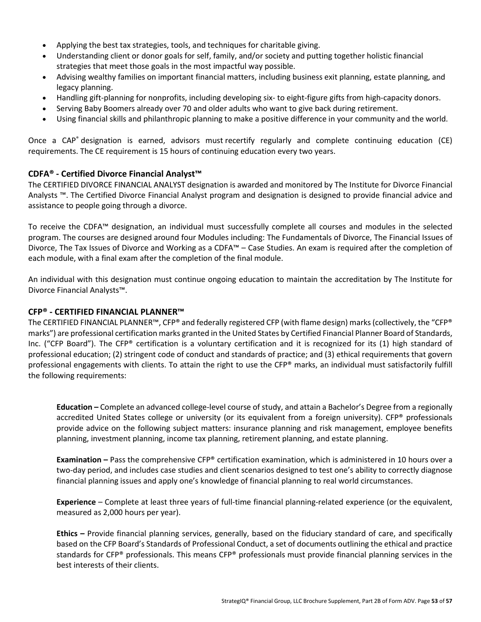- Applying the best tax strategies, tools, and techniques for charitable giving.
- Understanding client or donor goals for self, family, and/or society and putting together holistic financial strategies that meet those goals in the most impactful way possible.
- Advising wealthy families on important financial matters, including business exit planning, estate planning, and legacy planning.
- Handling gift-planning for nonprofits, including developing six- to eight-figure gifts from high-capacity donors.
- Serving Baby Boomers already over 70 and older adults who want to give back during retirement.
- Using financial skills and philanthropic planning to make a positive difference in your community and the world.

Once a CAP<sup>®</sup> designation is earned, advisors must recertify regularly and complete continuing education (CE) requirements. The CE requirement is 15 hours of continuing education every two years.

#### **CDFA® - Certified Divorce Financial Analyst™**

The CERTIFIED DIVORCE FINANCIAL ANALYST designation is awarded and monitored by The Institute for Divorce Financial Analysts ™. The Certified Divorce Financial Analyst program and designation is designed to provide financial advice and assistance to people going through a divorce.

To receive the CDFA™ designation, an individual must successfully complete all courses and modules in the selected program. The courses are designed around four Modules including: The Fundamentals of Divorce, The Financial Issues of Divorce, The Tax Issues of Divorce and Working as a CDFA™ – Case Studies. An exam is required after the completion of each module, with a final exam after the completion of the final module.

An individual with this designation must continue ongoing education to maintain the accreditation by The Institute for Divorce Financial Analysts™.

#### **CFP® - CERTIFIED FINANCIAL PLANNER™**

The CERTIFIED FINANCIAL PLANNER™, CFP® and federally registered CFP (with flame design) marks (collectively, the "CFP® marks") are professional certification marks granted in the United States by Certified Financial Planner Board of Standards, Inc. ("CFP Board"). The CFP® certification is a voluntary certification and it is recognized for its (1) high standard of professional education; (2) stringent code of conduct and standards of practice; and (3) ethical requirements that govern professional engagements with clients. To attain the right to use the CFP® marks, an individual must satisfactorily fulfill the following requirements:

**Education –** Complete an advanced college-level course of study, and attain a Bachelor's Degree from a regionally accredited United States college or university (or its equivalent from a foreign university). CFP® professionals provide advice on the following subject matters: insurance planning and risk management, employee benefits planning, investment planning, income tax planning, retirement planning, and estate planning.

**Examination –** Pass the comprehensive CFP® certification examination, which is administered in 10 hours over a two-day period, and includes case studies and client scenarios designed to test one's ability to correctly diagnose financial planning issues and apply one's knowledge of financial planning to real world circumstances.

**Experience** – Complete at least three years of full-time financial planning-related experience (or the equivalent, measured as 2,000 hours per year).

**Ethics –** Provide financial planning services, generally, based on the fiduciary standard of care, and specifically based on the CFP Board's Standards of Professional Conduct, a set of documents outlining the ethical and practice standards for CFP® professionals. This means CFP® professionals must provide financial planning services in the best interests of their clients.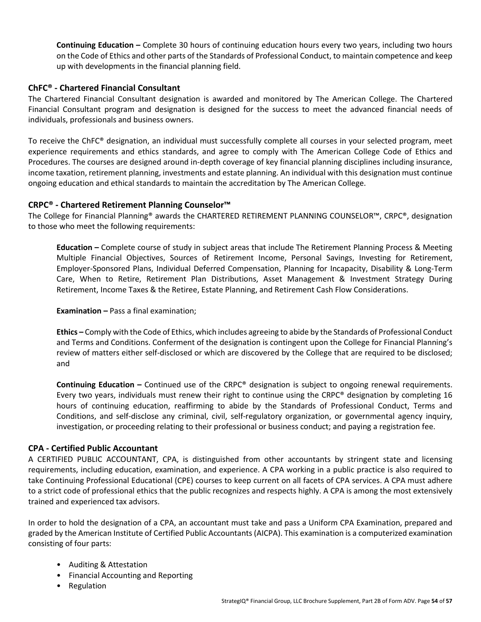**Continuing Education –** Complete 30 hours of continuing education hours every two years, including two hours on the Code of Ethics and other parts of the Standards of Professional Conduct, to maintain competence and keep up with developments in the financial planning field.

#### **ChFC® - Chartered Financial Consultant**

The Chartered Financial Consultant designation is awarded and monitored by The American College. The Chartered Financial Consultant program and designation is designed for the success to meet the advanced financial needs of individuals, professionals and business owners.

To receive the ChFC® designation, an individual must successfully complete all courses in your selected program, meet experience requirements and ethics standards, and agree to comply with The American College Code of Ethics and Procedures. The courses are designed around in-depth coverage of key financial planning disciplines including insurance, income taxation, retirement planning, investments and estate planning. An individual with this designation must continue ongoing education and ethical standards to maintain the accreditation by The American College.

#### **CRPC® - Chartered Retirement Planning Counselor™**

The College for Financial Planning® awards the CHARTERED RETIREMENT PLANNING COUNSELOR™, CRPC®, designation to those who meet the following requirements:

**Education –** Complete course of study in subject areas that include The Retirement Planning Process & Meeting Multiple Financial Objectives, Sources of Retirement Income, Personal Savings, Investing for Retirement, Employer-Sponsored Plans, Individual Deferred Compensation, Planning for Incapacity, Disability & Long-Term Care, When to Retire, Retirement Plan Distributions, Asset Management & Investment Strategy During Retirement, Income Taxes & the Retiree, Estate Planning, and Retirement Cash Flow Considerations.

**Examination –** Pass a final examination;

**Ethics –** Comply with the Code of Ethics, which includes agreeing to abide by the Standards of Professional Conduct and Terms and Conditions. Conferment of the designation is contingent upon the College for Financial Planning's review of matters either self-disclosed or which are discovered by the College that are required to be disclosed; and

**Continuing Education –** Continued use of the CRPC® designation is subject to ongoing renewal requirements. Every two years, individuals must renew their right to continue using the CRPC® designation by completing 16 hours of continuing education, reaffirming to abide by the Standards of Professional Conduct, Terms and Conditions, and self-disclose any criminal, civil, self-regulatory organization, or governmental agency inquiry, investigation, or proceeding relating to their professional or business conduct; and paying a registration fee.

#### **CPA - Certified Public Accountant**

A CERTIFIED PUBLIC ACCOUNTANT, CPA, is distinguished from other accountants by stringent state and licensing requirements, including education, examination, and experience. A CPA working in a public practice is also required to take Continuing Professional Educational (CPE) courses to keep current on all facets of CPA services. A CPA must adhere to a strict code of professional ethics that the public recognizes and respects highly. A CPA is among the most extensively trained and experienced tax advisors.

In order to hold the designation of a CPA, an accountant must take and pass a Uniform CPA Examination, prepared and graded by the American Institute of Certified Public Accountants (AICPA). This examination is a computerized examination consisting of four parts:

- Auditing & Attestation
- Financial Accounting and Reporting
- Regulation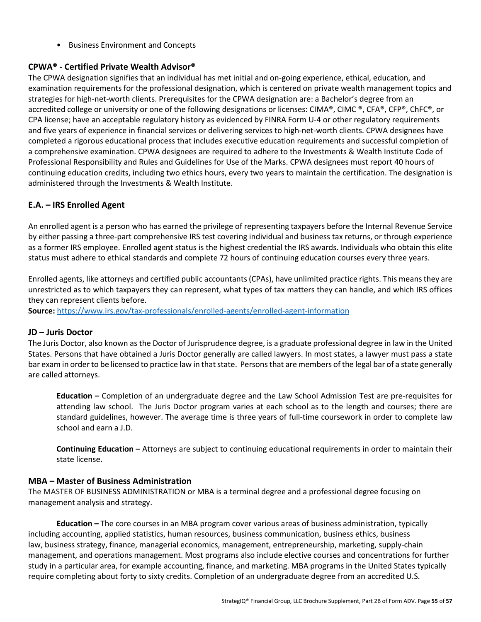• Business Environment and Concepts

#### **CPWA® - Certified Private Wealth Advisor®**

The CPWA designation signifies that an individual has met initial and on-going experience, ethical, education, and examination requirements for the professional designation, which is centered on private wealth management topics and strategies for high-net-worth clients. Prerequisites for the CPWA designation are: a Bachelor's degree from an accredited college or university or one of the following designations or licenses: CIMA®, CIMC®, CFA®, CFP®, ChFC®, or CPA license; have an acceptable regulatory history as evidenced by FINRA Form U-4 or other regulatory requirements and five years of experience in financial services or delivering services to high-net-worth clients. CPWA designees have completed a rigorous educational process that includes executive education requirements and successful completion of a comprehensive examination. CPWA designees are required to adhere to the Investments & Wealth Institute Code of Professional Responsibility and Rules and Guidelines for Use of the Marks. CPWA designees must report 40 hours of continuing education credits, including two ethics hours, every two years to maintain the certification. The designation is administered through the Investments & Wealth Institute.

#### **E.A. – IRS Enrolled Agent**

An enrolled agent is a person who has earned the privilege of representing taxpayers before the Internal Revenue Service by either passing a three-part comprehensive IRS test covering individual and business tax returns, or through experience as a former IRS employee. Enrolled agent status is the highest credential the IRS awards. Individuals who obtain this elite status must adhere to ethical standards and complete 72 hours of continuing education courses every three years.

Enrolled agents, like attorneys and certified public accountants (CPAs), have unlimited practice rights. This means they are unrestricted as to which taxpayers they can represent, what types of tax matters they can handle, and which IRS offices they can represent clients before.

**Source:** https://www.irs.gov/tax-professionals/enrolled-agents/enrolled-agent-information

#### **JD – Juris Doctor**

The Juris Doctor, also known as the Doctor of Jurisprudence degree, is a graduate professional degree in law in the United States. Persons that have obtained a Juris Doctor generally are called lawyers. In most states, a lawyer must pass a state bar exam in order to be licensed to practice law in that state. Persons that are members of the legal bar of a state generally are called attorneys.

**Education –** Completion of an undergraduate degree and the Law School Admission Test are pre-requisites for attending law school. The Juris Doctor program varies at each school as to the length and courses; there are standard guidelines, however. The average time is three years of full-time coursework in order to complete law school and earn a J.D.

**Continuing Education –** Attorneys are subject to continuing educational requirements in order to maintain their state license.

#### **MBA – Master of Business Administration**

The MASTER OF BUSINESS ADMINISTRATION or MBA is a terminal degree and a professional degree focusing on management analysis and strategy.

**Education –** The core courses in an MBA program cover various areas of business administration, typically including accounting, applied statistics, human resources, business communication, business ethics, business law, business strategy, finance, managerial economics, management, entrepreneurship, marketing, supply-chain management, and operations management. Most programs also include elective courses and concentrations for further study in a particular area, for example accounting, finance, and marketing. MBA programs in the United States typically require completing about forty to sixty credits. Completion of an undergraduate degree from an accredited U.S.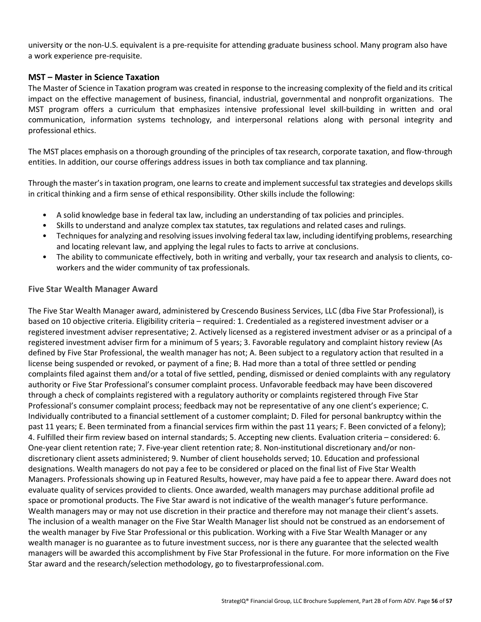university or the non-U.S. equivalent is a pre-requisite for attending graduate business school. Many program also have a work experience pre-requisite.

#### **MST – Master in Science Taxation**

The Master of Science in Taxation program was created in response to the increasing complexity of the field and its critical impact on the effective management of business, financial, industrial, governmental and nonprofit organizations. The MST program offers a curriculum that emphasizes intensive professional level skill-building in written and oral communication, information systems technology, and interpersonal relations along with personal integrity and professional ethics.

The MST places emphasis on a thorough grounding of the principles of tax research, corporate taxation, and flow-through entities. In addition, our course offerings address issues in both tax compliance and tax planning.

Through the master's in taxation program, one learns to create and implement successful tax strategies and develops skills in critical thinking and a firm sense of ethical responsibility. Other skills include the following:

- A solid knowledge base in federal tax law, including an understanding of tax policies and principles.
- Skills to understand and analyze complex tax statutes, tax regulations and related cases and rulings.
- Techniques for analyzing and resolving issues involving federal tax law, including identifying problems, researching and locating relevant law, and applying the legal rules to facts to arrive at conclusions.
- The ability to communicate effectively, both in writing and verbally, your tax research and analysis to clients, coworkers and the wider community of tax professionals.

#### **Five Star Wealth Manager Award**

The Five Star Wealth Manager award, administered by Crescendo Business Services, LLC (dba Five Star Professional), is based on 10 objective criteria. Eligibility criteria – required: 1. Credentialed as a registered investment adviser or a registered investment adviser representative; 2. Actively licensed as a registered investment adviser or as a principal of a registered investment adviser firm for a minimum of 5 years; 3. Favorable regulatory and complaint history review (As defined by Five Star Professional, the wealth manager has not; A. Been subject to a regulatory action that resulted in a license being suspended or revoked, or payment of a fine; B. Had more than a total of three settled or pending complaints filed against them and/or a total of five settled, pending, dismissed or denied complaints with any regulatory authority or Five Star Professional's consumer complaint process. Unfavorable feedback may have been discovered through a check of complaints registered with a regulatory authority or complaints registered through Five Star Professional's consumer complaint process; feedback may not be representative of any one client's experience; C. Individually contributed to a financial settlement of a customer complaint; D. Filed for personal bankruptcy within the past 11 years; E. Been terminated from a financial services firm within the past 11 years; F. Been convicted of a felony); 4. Fulfilled their firm review based on internal standards; 5. Accepting new clients. Evaluation criteria – considered: 6. One-year client retention rate; 7. Five-year client retention rate; 8. Non-institutional discretionary and/or nondiscretionary client assets administered; 9. Number of client households served; 10. Education and professional designations. Wealth managers do not pay a fee to be considered or placed on the final list of Five Star Wealth Managers. Professionals showing up in Featured Results, however, may have paid a fee to appear there. Award does not evaluate quality of services provided to clients. Once awarded, wealth managers may purchase additional profile ad space or promotional products. The Five Star award is not indicative of the wealth manager's future performance. Wealth managers may or may not use discretion in their practice and therefore may not manage their client's assets. The inclusion of a wealth manager on the Five Star Wealth Manager list should not be construed as an endorsement of the wealth manager by Five Star Professional or this publication. Working with a Five Star Wealth Manager or any wealth manager is no guarantee as to future investment success, nor is there any guarantee that the selected wealth managers will be awarded this accomplishment by Five Star Professional in the future. For more information on the Five Star award and the research/selection methodology, go to fivestarprofessional.com.